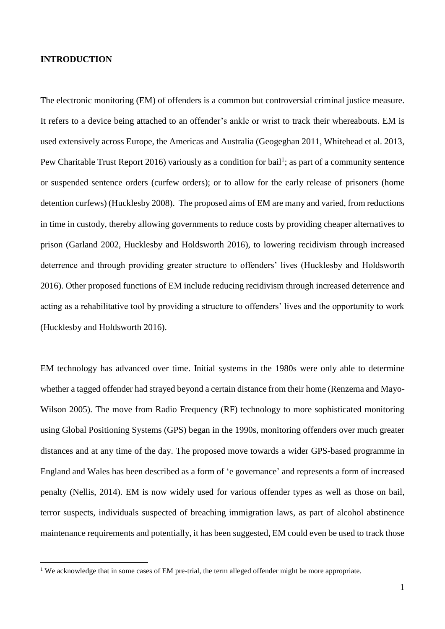#### **INTRODUCTION**

<u>.</u>

The electronic monitoring (EM) of offenders is a common but controversial criminal justice measure. It refers to a device being attached to an offender's ankle or wrist to track their whereabouts. EM is used extensively across Europe, the Americas and Australia (Geogeghan 2011, Whitehead et al. 2013, Pew Charitable Trust Report 2016) variously as a condition for bail<sup>1</sup>; as part of a community sentence or suspended sentence orders (curfew orders); or to allow for the early release of prisoners (home detention curfews) (Hucklesby 2008). The proposed aims of EM are many and varied, from reductions in time in custody, thereby allowing governments to reduce costs by providing cheaper alternatives to prison (Garland 2002, Hucklesby and Holdsworth 2016), to lowering recidivism through increased deterrence and through providing greater structure to offenders' lives (Hucklesby and Holdsworth 2016). Other proposed functions of EM include reducing recidivism through increased deterrence and acting as a rehabilitative tool by providing a structure to offenders' lives and the opportunity to work (Hucklesby and Holdsworth 2016).

EM technology has advanced over time. Initial systems in the 1980s were only able to determine whether a tagged offender had strayed beyond a certain distance from their home (Renzema and Mayo-Wilson 2005). The move from Radio Frequency (RF) technology to more sophisticated monitoring using Global Positioning Systems (GPS) began in the 1990s, monitoring offenders over much greater distances and at any time of the day. The proposed move towards a wider GPS-based programme in England and Wales has been described as a form of 'e governance' and represents a form of increased penalty (Nellis, 2014). EM is now widely used for various offender types as well as those on bail, terror suspects, individuals suspected of breaching immigration laws, as part of alcohol abstinence maintenance requirements and potentially, it has been suggested, EM could even be used to track those

<sup>&</sup>lt;sup>1</sup> We acknowledge that in some cases of EM pre-trial, the term alleged offender might be more appropriate.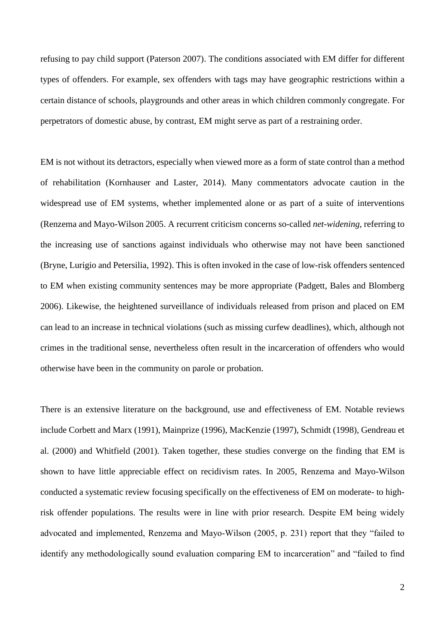refusing to pay child support (Paterson 2007). The conditions associated with EM differ for different types of offenders. For example, sex offenders with tags may have geographic restrictions within a certain distance of schools, playgrounds and other areas in which children commonly congregate. For perpetrators of domestic abuse, by contrast, EM might serve as part of a restraining order.

EM is not without its detractors, especially when viewed more as a form of state control than a method of rehabilitation (Kornhauser and Laster, 2014). Many commentators advocate caution in the widespread use of EM systems, whether implemented alone or as part of a suite of interventions (Renzema and Mayo-Wilson 2005. A recurrent criticism concerns so-called *net-widening*, referring to the increasing use of sanctions against individuals who otherwise may not have been sanctioned (Bryne, Lurigio and Petersilia, 1992). This is often invoked in the case of low-risk offenders sentenced to EM when existing community sentences may be more appropriate (Padgett, Bales and Blomberg 2006). Likewise, the heightened surveillance of individuals released from prison and placed on EM can lead to an increase in technical violations (such as missing curfew deadlines), which, although not crimes in the traditional sense, nevertheless often result in the incarceration of offenders who would otherwise have been in the community on parole or probation.

There is an extensive literature on the background, use and effectiveness of EM. Notable reviews include Corbett and Marx (1991), Mainprize (1996), MacKenzie (1997), Schmidt (1998), Gendreau et al. (2000) and Whitfield (2001). Taken together, these studies converge on the finding that EM is shown to have little appreciable effect on recidivism rates. In 2005, Renzema and Mayo-Wilson conducted a systematic review focusing specifically on the effectiveness of EM on moderate- to highrisk offender populations. The results were in line with prior research. Despite EM being widely advocated and implemented, Renzema and Mayo-Wilson (2005, p. 231) report that they "failed to identify any methodologically sound evaluation comparing EM to incarceration" and "failed to find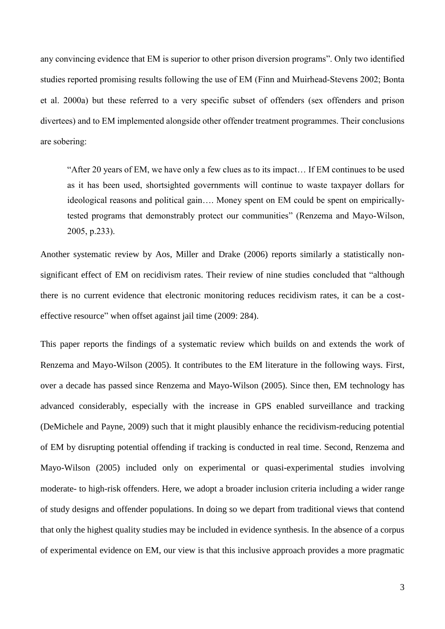any convincing evidence that EM is superior to other prison diversion programs". Only two identified studies reported promising results following the use of EM (Finn and Muirhead-Stevens 2002; Bonta et al. 2000a) but these referred to a very specific subset of offenders (sex offenders and prison divertees) and to EM implemented alongside other offender treatment programmes. Their conclusions are sobering:

"After 20 years of EM, we have only a few clues as to its impact… If EM continues to be used as it has been used, shortsighted governments will continue to waste taxpayer dollars for ideological reasons and political gain…. Money spent on EM could be spent on empiricallytested programs that demonstrably protect our communities" (Renzema and Mayo-Wilson, 2005, p.233).

Another systematic review by Aos, Miller and Drake (2006) reports similarly a statistically nonsignificant effect of EM on recidivism rates. Their review of nine studies concluded that "although there is no current evidence that electronic monitoring reduces recidivism rates, it can be a costeffective resource" when offset against jail time (2009: 284).

This paper reports the findings of a systematic review which builds on and extends the work of Renzema and Mayo-Wilson (2005). It contributes to the EM literature in the following ways. First, over a decade has passed since Renzema and Mayo-Wilson (2005). Since then, EM technology has advanced considerably, especially with the increase in GPS enabled surveillance and tracking (DeMichele and Payne, 2009) such that it might plausibly enhance the recidivism-reducing potential of EM by disrupting potential offending if tracking is conducted in real time. Second, Renzema and Mayo-Wilson (2005) included only on experimental or quasi-experimental studies involving moderate- to high-risk offenders. Here, we adopt a broader inclusion criteria including a wider range of study designs and offender populations. In doing so we depart from traditional views that contend that only the highest quality studies may be included in evidence synthesis. In the absence of a corpus of experimental evidence on EM, our view is that this inclusive approach provides a more pragmatic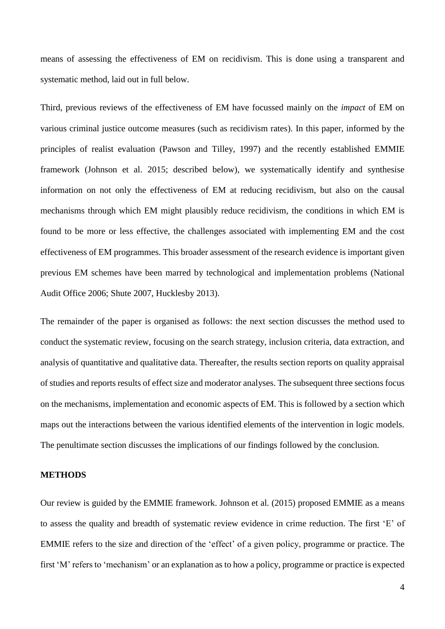means of assessing the effectiveness of EM on recidivism. This is done using a transparent and systematic method, laid out in full below.

Third, previous reviews of the effectiveness of EM have focussed mainly on the *impact* of EM on various criminal justice outcome measures (such as recidivism rates). In this paper, informed by the principles of realist evaluation (Pawson and Tilley, 1997) and the recently established EMMIE framework (Johnson et al. 2015; described below), we systematically identify and synthesise information on not only the effectiveness of EM at reducing recidivism, but also on the causal mechanisms through which EM might plausibly reduce recidivism, the conditions in which EM is found to be more or less effective, the challenges associated with implementing EM and the cost effectiveness of EM programmes. This broader assessment of the research evidence is important given previous EM schemes have been marred by technological and implementation problems (National Audit Office 2006; Shute 2007, Hucklesby 2013).

The remainder of the paper is organised as follows: the next section discusses the method used to conduct the systematic review, focusing on the search strategy, inclusion criteria, data extraction, and analysis of quantitative and qualitative data. Thereafter, the results section reports on quality appraisal of studies and reports results of effect size and moderator analyses. The subsequent three sections focus on the mechanisms, implementation and economic aspects of EM. This is followed by a section which maps out the interactions between the various identified elements of the intervention in logic models. The penultimate section discusses the implications of our findings followed by the conclusion.

## **METHODS**

Our review is guided by the EMMIE framework. Johnson et al. (2015) proposed EMMIE as a means to assess the quality and breadth of systematic review evidence in crime reduction. The first 'E' of EMMIE refers to the size and direction of the 'effect' of a given policy, programme or practice. The first 'M' refers to 'mechanism' or an explanation as to how a policy, programme or practice is expected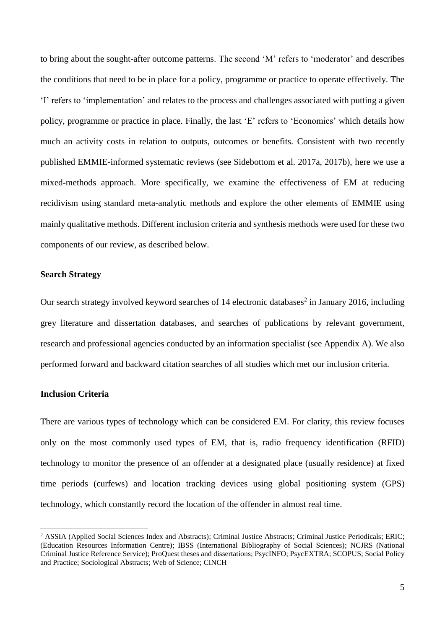to bring about the sought-after outcome patterns. The second 'M' refers to 'moderator' and describes the conditions that need to be in place for a policy, programme or practice to operate effectively. The 'I' refers to 'implementation' and relates to the process and challenges associated with putting a given policy, programme or practice in place. Finally, the last 'E' refers to 'Economics' which details how much an activity costs in relation to outputs, outcomes or benefits. Consistent with two recently published EMMIE-informed systematic reviews (see Sidebottom et al. 2017a, 2017b), here we use a mixed-methods approach. More specifically, we examine the effectiveness of EM at reducing recidivism using standard meta-analytic methods and explore the other elements of EMMIE using mainly qualitative methods. Different inclusion criteria and synthesis methods were used for these two components of our review, as described below.

## **Search Strategy**

Our search strategy involved keyword searches of 14 electronic databases<sup>2</sup> in January 2016, including grey literature and dissertation databases, and searches of publications by relevant government, research and professional agencies conducted by an information specialist (see Appendix A). We also performed forward and backward citation searches of all studies which met our inclusion criteria.

# **Inclusion Criteria**

1

There are various types of technology which can be considered EM. For clarity, this review focuses only on the most commonly used types of EM, that is, radio frequency identification (RFID) technology to monitor the presence of an offender at a designated place (usually residence) at fixed time periods (curfews) and location tracking devices using global positioning system (GPS) technology, which constantly record the location of the offender in almost real time.

<sup>2</sup> ASSIA (Applied Social Sciences Index and Abstracts); Criminal Justice Abstracts; Criminal Justice Periodicals; ERIC; (Education Resources Information Centre); IBSS (International Bibliography of Social Sciences); NCJRS (National Criminal Justice Reference Service); ProQuest theses and dissertations; PsycINFO; PsycEXTRA; SCOPUS; Social Policy and Practice; Sociological Abstracts; Web of Science; CINCH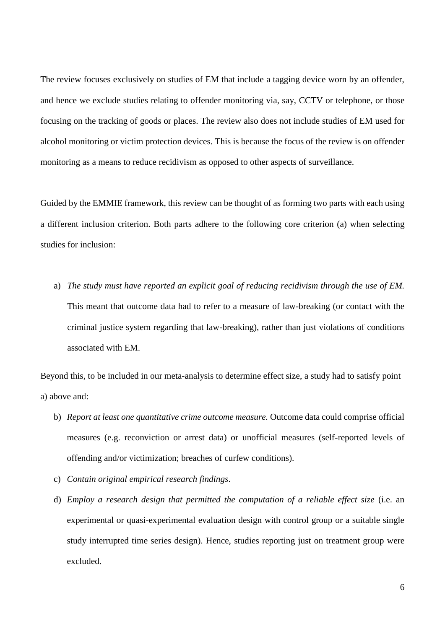The review focuses exclusively on studies of EM that include a tagging device worn by an offender, and hence we exclude studies relating to offender monitoring via, say, CCTV or telephone, or those focusing on the tracking of goods or places. The review also does not include studies of EM used for alcohol monitoring or victim protection devices. This is because the focus of the review is on offender monitoring as a means to reduce recidivism as opposed to other aspects of surveillance.

Guided by the EMMIE framework, this review can be thought of as forming two parts with each using a different inclusion criterion. Both parts adhere to the following core criterion (a) when selecting studies for inclusion:

a) *The study must have reported an explicit goal of reducing recidivism through the use of EM.*  This meant that outcome data had to refer to a measure of law-breaking (or contact with the criminal justice system regarding that law-breaking), rather than just violations of conditions associated with EM.

Beyond this, to be included in our meta-analysis to determine effect size, a study had to satisfy point a) above and:

- b) *Report at least one quantitative crime outcome measure.* Outcome data could comprise official measures (e.g. reconviction or arrest data) or unofficial measures (self-reported levels of offending and/or victimization; breaches of curfew conditions).
- c) *Contain original empirical research findings*.
- d) *Employ a research design that permitted the computation of a reliable effect size* (i.e. an experimental or quasi-experimental evaluation design with control group or a suitable single study interrupted time series design). Hence, studies reporting just on treatment group were excluded.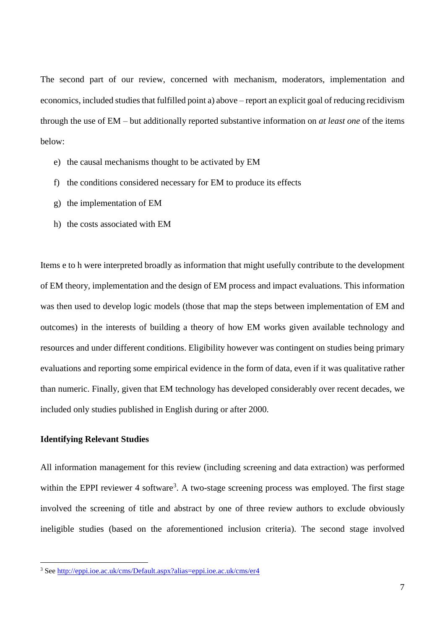The second part of our review, concerned with mechanism, moderators, implementation and economics, included studies that fulfilled point a) above – report an explicit goal of reducing recidivism through the use of EM – but additionally reported substantive information on *at least one* of the items below:

- e) the causal mechanisms thought to be activated by EM
- f) the conditions considered necessary for EM to produce its effects
- g) the implementation of EM
- h) the costs associated with EM

Items e to h were interpreted broadly as information that might usefully contribute to the development of EM theory, implementation and the design of EM process and impact evaluations. This information was then used to develop logic models (those that map the steps between implementation of EM and outcomes) in the interests of building a theory of how EM works given available technology and resources and under different conditions. Eligibility however was contingent on studies being primary evaluations and reporting some empirical evidence in the form of data, even if it was qualitative rather than numeric. Finally, given that EM technology has developed considerably over recent decades, we included only studies published in English during or after 2000.

# **Identifying Relevant Studies**

<u>.</u>

All information management for this review (including screening and data extraction) was performed within the EPPI reviewer 4 software<sup>3</sup>. A two-stage screening process was employed. The first stage involved the screening of title and abstract by one of three review authors to exclude obviously ineligible studies (based on the aforementioned inclusion criteria). The second stage involved

<sup>3</sup> Se[e http://eppi.ioe.ac.uk/cms/Default.aspx?alias=eppi.ioe.ac.uk/cms/er4](http://eppi.ioe.ac.uk/cms/Default.aspx?alias=eppi.ioe.ac.uk/cms/er4)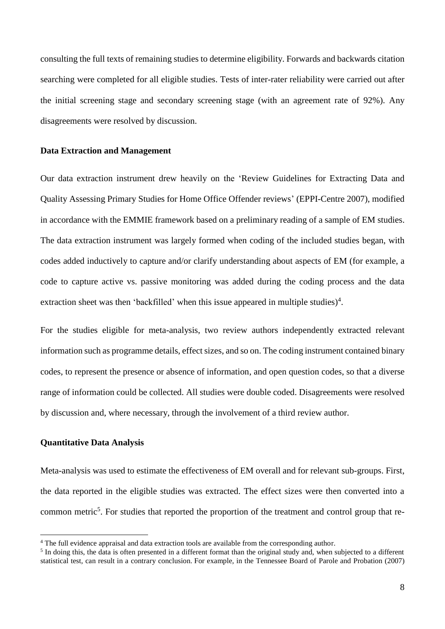consulting the full texts of remaining studies to determine eligibility. Forwards and backwards citation searching were completed for all eligible studies. Tests of inter-rater reliability were carried out after the initial screening stage and secondary screening stage (with an agreement rate of 92%). Any disagreements were resolved by discussion.

#### **Data Extraction and Management**

Our data extraction instrument drew heavily on the 'Review Guidelines for Extracting Data and Quality Assessing Primary Studies for Home Office Offender reviews' (EPPI-Centre 2007), modified in accordance with the EMMIE framework based on a preliminary reading of a sample of EM studies. The data extraction instrument was largely formed when coding of the included studies began, with codes added inductively to capture and/or clarify understanding about aspects of EM (for example, a code to capture active vs. passive monitoring was added during the coding process and the data extraction sheet was then 'backfilled' when this issue appeared in multiple studies)<sup>4</sup>.

For the studies eligible for meta-analysis, two review authors independently extracted relevant information such as programme details, effect sizes, and so on. The coding instrument contained binary codes, to represent the presence or absence of information, and open question codes, so that a diverse range of information could be collected. All studies were double coded. Disagreements were resolved by discussion and, where necessary, through the involvement of a third review author.

## **Quantitative Data Analysis**

1

Meta-analysis was used to estimate the effectiveness of EM overall and for relevant sub-groups. First, the data reported in the eligible studies was extracted. The effect sizes were then converted into a common metric<sup>5</sup>. For studies that reported the proportion of the treatment and control group that re-

<sup>&</sup>lt;sup>4</sup> The full evidence appraisal and data extraction tools are available from the corresponding author.

 $<sup>5</sup>$  In doing this, the data is often presented in a different format than the original study and, when subjected to a different</sup> statistical test, can result in a contrary conclusion. For example, in the Tennessee Board of Parole and Probation (2007)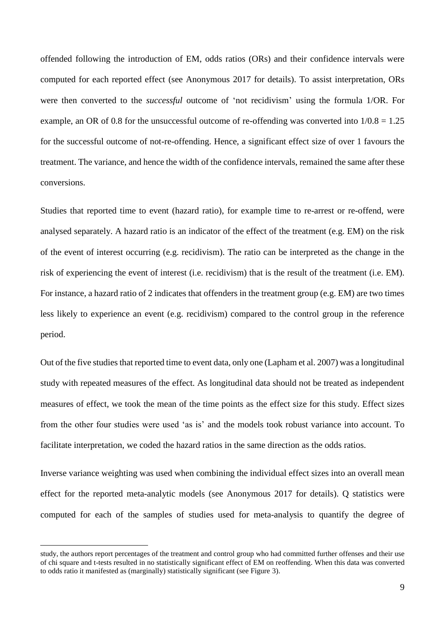offended following the introduction of EM, odds ratios (ORs) and their confidence intervals were computed for each reported effect (see Anonymous 2017 for details). To assist interpretation, ORs were then converted to the *successful* outcome of 'not recidivism' using the formula 1/OR. For example, an OR of 0.8 for the unsuccessful outcome of re-offending was converted into  $1/0.8 = 1.25$ for the successful outcome of not-re-offending. Hence, a significant effect size of over 1 favours the treatment. The variance, and hence the width of the confidence intervals, remained the same after these conversions.

Studies that reported time to event (hazard ratio), for example time to re-arrest or re-offend, were analysed separately. A hazard ratio is an indicator of the effect of the treatment (e.g. EM) on the risk of the event of interest occurring (e.g. recidivism). The ratio can be interpreted as the change in the risk of experiencing the event of interest (i.e. recidivism) that is the result of the treatment (i.e. EM). For instance, a hazard ratio of 2 indicates that offenders in the treatment group (e.g. EM) are two times less likely to experience an event (e.g. recidivism) compared to the control group in the reference period.

Out of the five studies that reported time to event data, only one (Lapham et al. 2007) was a longitudinal study with repeated measures of the effect. As longitudinal data should not be treated as independent measures of effect, we took the mean of the time points as the effect size for this study. Effect sizes from the other four studies were used 'as is' and the models took robust variance into account. To facilitate interpretation, we coded the hazard ratios in the same direction as the odds ratios.

Inverse variance weighting was used when combining the individual effect sizes into an overall mean effect for the reported meta-analytic models (see Anonymous 2017 for details). Q statistics were computed for each of the samples of studies used for meta-analysis to quantify the degree of

study, the authors report percentages of the treatment and control group who had committed further offenses and their use of chi square and t-tests resulted in no statistically significant effect of EM on reoffending. When this data was converted to odds ratio it manifested as (marginally) statistically significant (see Figure 3).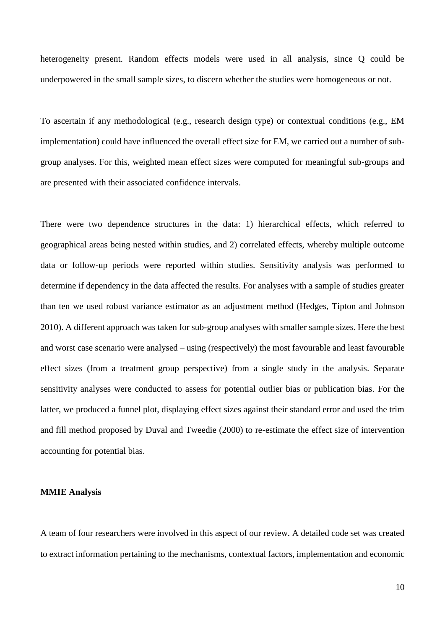heterogeneity present. Random effects models were used in all analysis, since Q could be underpowered in the small sample sizes, to discern whether the studies were homogeneous or not.

To ascertain if any methodological (e.g., research design type) or contextual conditions (e.g., EM implementation) could have influenced the overall effect size for EM, we carried out a number of subgroup analyses. For this, weighted mean effect sizes were computed for meaningful sub-groups and are presented with their associated confidence intervals.

There were two dependence structures in the data: 1) hierarchical effects, which referred to geographical areas being nested within studies, and 2) correlated effects, whereby multiple outcome data or follow-up periods were reported within studies. Sensitivity analysis was performed to determine if dependency in the data affected the results. For analyses with a sample of studies greater than ten we used robust variance estimator as an adjustment method (Hedges, Tipton and Johnson 2010). A different approach was taken for sub-group analyses with smaller sample sizes. Here the best and worst case scenario were analysed – using (respectively) the most favourable and least favourable effect sizes (from a treatment group perspective) from a single study in the analysis. Separate sensitivity analyses were conducted to assess for potential outlier bias or publication bias. For the latter, we produced a funnel plot, displaying effect sizes against their standard error and used the trim and fill method proposed by Duval and Tweedie (2000) to re-estimate the effect size of intervention accounting for potential bias.

#### **MMIE Analysis**

A team of four researchers were involved in this aspect of our review. A detailed code set was created to extract information pertaining to the mechanisms, contextual factors, implementation and economic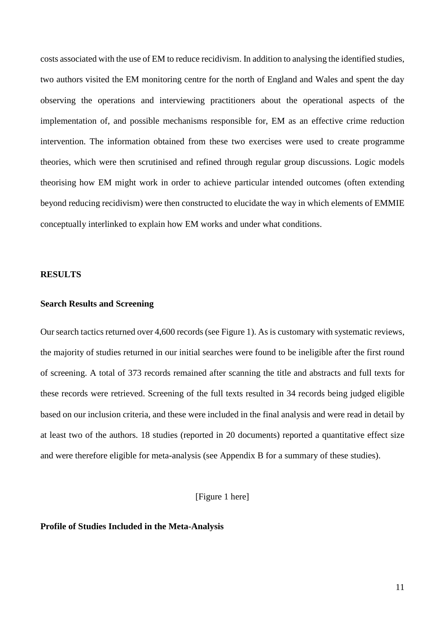costs associated with the use of EM to reduce recidivism. In addition to analysing the identified studies, two authors visited the EM monitoring centre for the north of England and Wales and spent the day observing the operations and interviewing practitioners about the operational aspects of the implementation of, and possible mechanisms responsible for, EM as an effective crime reduction intervention. The information obtained from these two exercises were used to create programme theories, which were then scrutinised and refined through regular group discussions. Logic models theorising how EM might work in order to achieve particular intended outcomes (often extending beyond reducing recidivism) were then constructed to elucidate the way in which elements of EMMIE conceptually interlinked to explain how EM works and under what conditions.

#### **RESULTS**

## **Search Results and Screening**

Our search tactics returned over 4,600 records (see Figure 1). As is customary with systematic reviews, the majority of studies returned in our initial searches were found to be ineligible after the first round of screening. A total of 373 records remained after scanning the title and abstracts and full texts for these records were retrieved. Screening of the full texts resulted in 34 records being judged eligible based on our inclusion criteria, and these were included in the final analysis and were read in detail by at least two of the authors. 18 studies (reported in 20 documents) reported a quantitative effect size and were therefore eligible for meta-analysis (see Appendix B for a summary of these studies).

[Figure 1 here]

#### **Profile of Studies Included in the Meta-Analysis**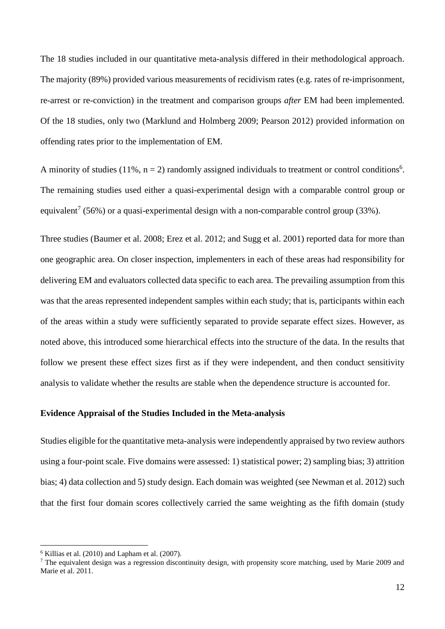The 18 studies included in our quantitative meta-analysis differed in their methodological approach. The majority (89%) provided various measurements of recidivism rates (e.g. rates of re-imprisonment, re-arrest or re-conviction) in the treatment and comparison groups *after* EM had been implemented. Of the 18 studies, only two (Marklund and Holmberg 2009; Pearson 2012) provided information on offending rates prior to the implementation of EM.

A minority of studies (11%,  $n = 2$ ) randomly assigned individuals to treatment or control conditions<sup>6</sup>. The remaining studies used either a quasi-experimental design with a comparable control group or equivalent<sup>7</sup> (56%) or a quasi-experimental design with a non-comparable control group (33%).

Three studies (Baumer et al. 2008; Erez et al. 2012; and Sugg et al. 2001) reported data for more than one geographic area. On closer inspection, implementers in each of these areas had responsibility for delivering EM and evaluators collected data specific to each area. The prevailing assumption from this was that the areas represented independent samples within each study; that is, participants within each of the areas within a study were sufficiently separated to provide separate effect sizes. However, as noted above, this introduced some hierarchical effects into the structure of the data. In the results that follow we present these effect sizes first as if they were independent, and then conduct sensitivity analysis to validate whether the results are stable when the dependence structure is accounted for.

## **Evidence Appraisal of the Studies Included in the Meta-analysis**

Studies eligible for the quantitative meta-analysis were independently appraised by two review authors using a four-point scale. Five domains were assessed: 1) statistical power; 2) sampling bias; 3) attrition bias; 4) data collection and 5) study design. Each domain was weighted (see Newman et al. 2012) such that the first four domain scores collectively carried the same weighting as the fifth domain (study

 $6$  Killias et al. (2010) and Lapham et al. (2007).

<sup>&</sup>lt;sup>7</sup> The equivalent design was a regression discontinuity design, with propensity score matching, used by Marie 2009 and Marie et al. 2011.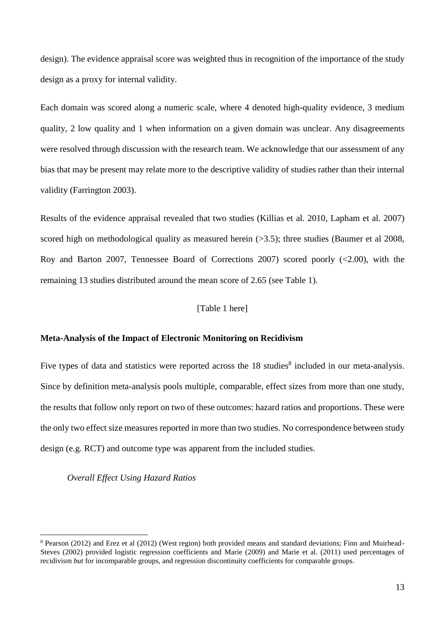design). The evidence appraisal score was weighted thus in recognition of the importance of the study design as a proxy for internal validity.

Each domain was scored along a numeric scale, where 4 denoted high-quality evidence, 3 medium quality, 2 low quality and 1 when information on a given domain was unclear. Any disagreements were resolved through discussion with the research team. We acknowledge that our assessment of any bias that may be present may relate more to the descriptive validity of studies rather than their internal validity (Farrington 2003).

Results of the evidence appraisal revealed that two studies (Killias et al. 2010, Lapham et al. 2007) scored high on methodological quality as measured herein (>3.5); three studies (Baumer et al 2008, Roy and Barton 2007, Tennessee Board of Corrections 2007) scored poorly (<2.00), with the remaining 13 studies distributed around the mean score of 2.65 (see Table 1).

## [Table 1 here]

#### **Meta-Analysis of the Impact of Electronic Monitoring on Recidivism**

Five types of data and statistics were reported across the 18 studies<sup>8</sup> included in our meta-analysis. Since by definition meta-analysis pools multiple, comparable, effect sizes from more than one study, the results that follow only report on two of these outcomes: hazard ratios and proportions. These were the only two effect size measures reported in more than two studies. No correspondence between study design (e.g. RCT) and outcome type was apparent from the included studies.

*Overall Effect Using Hazard Ratios*

<sup>8</sup> Pearson (2012) and Erez et al (2012) (West region) both provided means and standard deviations; Finn and Muirhead-Steves (2002) provided logistic regression coefficients and Marie (2009) and Marie et al. (2011) used percentages of recidivism *but* for incomparable groups, and regression discontinuity coefficients for comparable groups.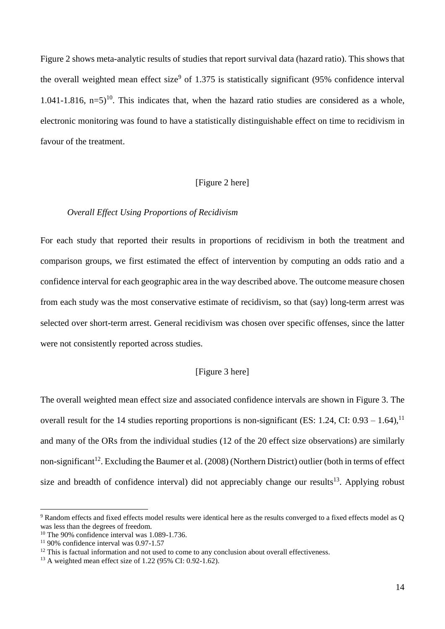Figure 2 shows meta-analytic results of studies that report survival data (hazard ratio). This shows that the overall weighted mean effect size<sup>9</sup> of 1.375 is statistically significant  $(95\%$  confidence interval 1.041-1.816,  $n=5$ <sup>10</sup>. This indicates that, when the hazard ratio studies are considered as a whole, electronic monitoring was found to have a statistically distinguishable effect on time to recidivism in favour of the treatment.

#### [Figure 2 here]

## *Overall Effect Using Proportions of Recidivism*

For each study that reported their results in proportions of recidivism in both the treatment and comparison groups, we first estimated the effect of intervention by computing an odds ratio and a confidence interval for each geographic area in the way described above. The outcome measure chosen from each study was the most conservative estimate of recidivism, so that (say) long-term arrest was selected over short-term arrest. General recidivism was chosen over specific offenses, since the latter were not consistently reported across studies.

# [Figure 3 here]

The overall weighted mean effect size and associated confidence intervals are shown in Figure 3. The overall result for the 14 studies reporting proportions is non-significant (ES: 1.24, CI:  $0.93 - 1.64$ ), <sup>11</sup> and many of the ORs from the individual studies (12 of the 20 effect size observations) are similarly non-significant<sup>12</sup>. Excluding the Baumer et al. (2008) (Northern District) outlier (both in terms of effect size and breadth of confidence interval) did not appreciably change our results<sup>13</sup>. Applying robust

<sup>9</sup> Random effects and fixed effects model results were identical here as the results converged to a fixed effects model as Q was less than the degrees of freedom.

 $10$  The 90% confidence interval was 1.089-1.736.

 $11\,90\%$  confidence interval was 0.97-1.57

 $12$  This is factual information and not used to come to any conclusion about overall effectiveness.

<sup>&</sup>lt;sup>13</sup> A weighted mean effect size of 1.22 (95% CI: 0.92-1.62).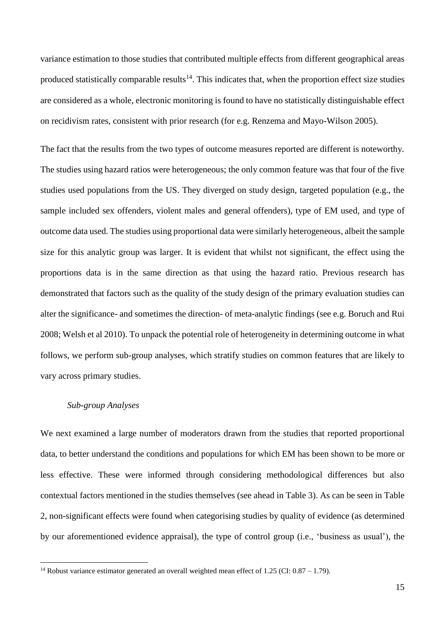variance estimation to those studies that contributed multiple effects from different geographical areas produced statistically comparable results $14$ . This indicates that, when the proportion effect size studies are considered as a whole, electronic monitoring is found to have no statistically distinguishable effect on recidivism rates, consistent with prior research (for e.g. Renzema and Mayo-Wilson 2005).

The fact that the results from the two types of outcome measures reported are different is noteworthy. The studies using hazard ratios were heterogeneous; the only common feature was that four of the five studies used populations from the US. They diverged on study design, targeted population (e.g., the sample included sex offenders, violent males and general offenders), type of EM used, and type of outcome data used. The studies using proportional data were similarly heterogeneous, albeit the sample size for this analytic group was larger. It is evident that whilst not significant, the effect using the proportions data is in the same direction as that using the hazard ratio. Previous research has demonstrated that factors such as the quality of the study design of the primary evaluation studies can alter the significance- and sometimes the direction- of meta-analytic findings (see e.g. Boruch and Rui 2008; Welsh et al 2010). To unpack the potential role of heterogeneity in determining outcome in what follows, we perform sub-group analyses, which stratify studies on common features that are likely to vary across primary studies.

## *Sub-group Analyses*

<u>.</u>

We next examined a large number of moderators drawn from the studies that reported proportional data, to better understand the conditions and populations for which EM has been shown to be more or less effective. These were informed through considering methodological differences but also contextual factors mentioned in the studies themselves (see ahead in Table 3). As can be seen in Table 2, non-significant effects were found when categorising studies by quality of evidence (as determined by our aforementioned evidence appraisal), the type of control group (i.e., 'business as usual'), the

<sup>&</sup>lt;sup>14</sup> Robust variance estimator generated an overall weighted mean effect of 1.25 (CI:  $0.87 - 1.79$ ).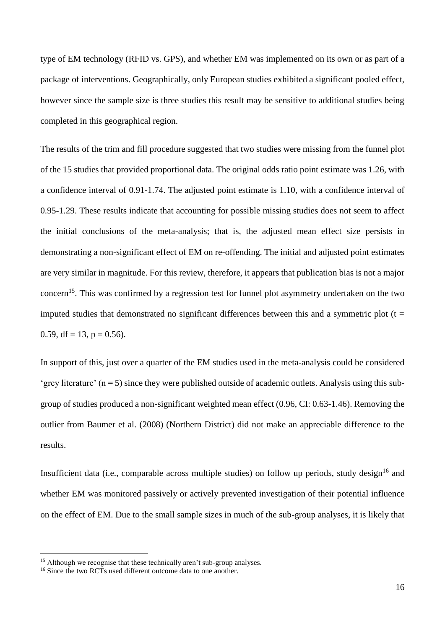type of EM technology (RFID vs. GPS), and whether EM was implemented on its own or as part of a package of interventions. Geographically, only European studies exhibited a significant pooled effect, however since the sample size is three studies this result may be sensitive to additional studies being completed in this geographical region.

The results of the trim and fill procedure suggested that two studies were missing from the funnel plot of the 15 studies that provided proportional data. The original odds ratio point estimate was 1.26, with a confidence interval of 0.91-1.74. The adjusted point estimate is 1.10, with a confidence interval of 0.95-1.29. These results indicate that accounting for possible missing studies does not seem to affect the initial conclusions of the meta-analysis; that is, the adjusted mean effect size persists in demonstrating a non-significant effect of EM on re-offending. The initial and adjusted point estimates are very similar in magnitude. For this review, therefore, it appears that publication bias is not a major concern<sup>15</sup>. This was confirmed by a regression test for funnel plot asymmetry undertaken on the two imputed studies that demonstrated no significant differences between this and a symmetric plot  $(t =$ 0.59, df = 13,  $p = 0.56$ ).

In support of this, just over a quarter of the EM studies used in the meta-analysis could be considered 'grey literature'  $(n = 5)$  since they were published outside of academic outlets. Analysis using this subgroup of studies produced a non-significant weighted mean effect (0.96, CI: 0.63-1.46). Removing the outlier from Baumer et al. (2008) (Northern District) did not make an appreciable difference to the results.

Insufficient data (i.e., comparable across multiple studies) on follow up periods, study design<sup>16</sup> and whether EM was monitored passively or actively prevented investigation of their potential influence on the effect of EM. Due to the small sample sizes in much of the sub-group analyses, it is likely that

<sup>&</sup>lt;sup>15</sup> Although we recognise that these technically aren't sub-group analyses.

<sup>&</sup>lt;sup>16</sup> Since the two RCTs used different outcome data to one another.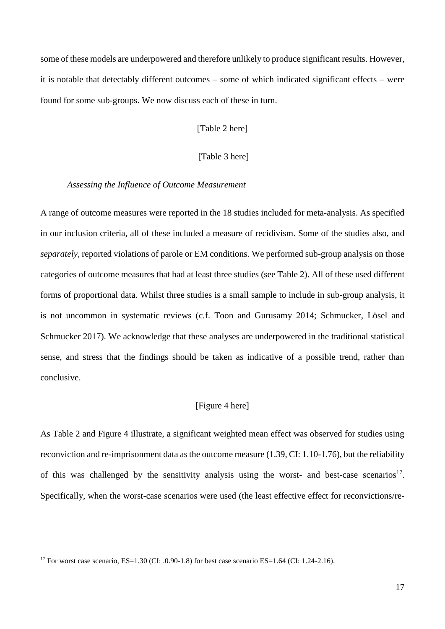some of these models are underpowered and therefore unlikely to produce significant results. However, it is notable that detectably different outcomes – some of which indicated significant effects – were found for some sub-groups. We now discuss each of these in turn.

[Table 2 here]

## [Table 3 here]

#### *Assessing the Influence of Outcome Measurement*

A range of outcome measures were reported in the 18 studies included for meta-analysis. As specified in our inclusion criteria, all of these included a measure of recidivism. Some of the studies also, and *separately,* reported violations of parole or EM conditions. We performed sub-group analysis on those categories of outcome measures that had at least three studies (see Table 2). All of these used different forms of proportional data. Whilst three studies is a small sample to include in sub-group analysis, it is not uncommon in systematic reviews (c.f. Toon and Gurusamy 2014; Schmucker, Lösel and Schmucker 2017). We acknowledge that these analyses are underpowered in the traditional statistical sense, and stress that the findings should be taken as indicative of a possible trend, rather than conclusive.

# [Figure 4 here]

As Table 2 and Figure 4 illustrate, a significant weighted mean effect was observed for studies using reconviction and re-imprisonment data as the outcome measure (1.39, CI: 1.10-1.76), but the reliability of this was challenged by the sensitivity analysis using the worst- and best-case scenarios<sup>17</sup>. Specifically, when the worst-case scenarios were used (the least effective effect for reconvictions/re-

<u>.</u>

<sup>&</sup>lt;sup>17</sup> For worst case scenario, ES=1.30 (CI: .0.90-1.8) for best case scenario ES=1.64 (CI: 1.24-2.16).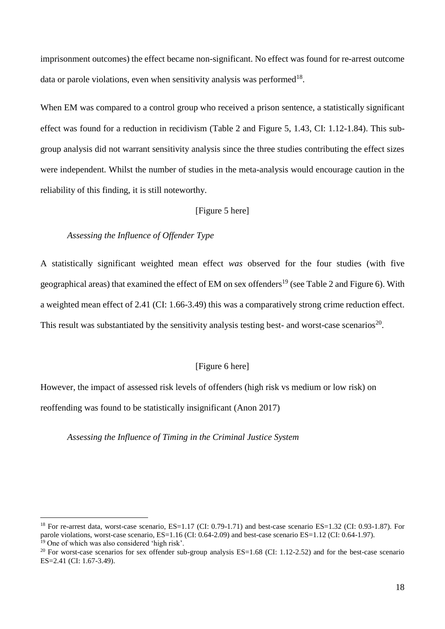imprisonment outcomes) the effect became non-significant. No effect was found for re-arrest outcome data or parole violations, even when sensitivity analysis was performed<sup>18</sup>.

When EM was compared to a control group who received a prison sentence, a statistically significant effect was found for a reduction in recidivism (Table 2 and Figure 5, 1.43, CI: 1.12-1.84). This subgroup analysis did not warrant sensitivity analysis since the three studies contributing the effect sizes were independent. Whilst the number of studies in the meta-analysis would encourage caution in the reliability of this finding, it is still noteworthy.

[Figure 5 here]

## *Assessing the Influence of Offender Type*

1

A statistically significant weighted mean effect *was* observed for the four studies (with five geographical areas) that examined the effect of EM on sex offenders<sup>19</sup> (see Table 2 and Figure 6). With a weighted mean effect of 2.41 (CI: 1.66-3.49) this was a comparatively strong crime reduction effect. This result was substantiated by the sensitivity analysis testing best- and worst-case scenarios<sup>20</sup>.

## [Figure 6 here]

However, the impact of assessed risk levels of offenders (high risk vs medium or low risk) on reoffending was found to be statistically insignificant (Anon 2017)

*Assessing the Influence of Timing in the Criminal Justice System*

 $^{18}$  For re-arrest data, worst-case scenario, ES=1.17 (CI: 0.79-1.71) and best-case scenario ES=1.32 (CI: 0.93-1.87). For parole violations, worst-case scenario, ES=1.16 (CI: 0.64-2.09) and best-case scenario ES=1.12 (CI: 0.64-1.97). <sup>19</sup> One of which was also considered 'high risk'.

<sup>&</sup>lt;sup>20</sup> For worst-case scenarios for sex offender sub-group analysis  $ES=1.68$  (CI: 1.12-2.52) and for the best-case scenario ES=2.41 (CI: 1.67-3.49).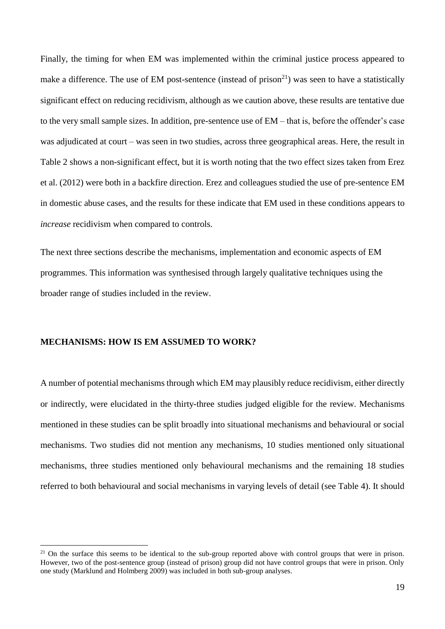Finally, the timing for when EM was implemented within the criminal justice process appeared to make a difference. The use of EM post-sentence (instead of prison<sup>21</sup>) was seen to have a statistically significant effect on reducing recidivism, although as we caution above, these results are tentative due to the very small sample sizes. In addition, pre-sentence use of EM – that is, before the offender's case was adjudicated at court – was seen in two studies, across three geographical areas. Here, the result in Table 2 shows a non-significant effect, but it is worth noting that the two effect sizes taken from Erez et al. (2012) were both in a backfire direction. Erez and colleagues studied the use of pre-sentence EM in domestic abuse cases, and the results for these indicate that EM used in these conditions appears to *increase* recidivism when compared to controls.

The next three sections describe the mechanisms, implementation and economic aspects of EM programmes. This information was synthesised through largely qualitative techniques using the broader range of studies included in the review.

## **MECHANISMS: HOW IS EM ASSUMED TO WORK?**

1

A number of potential mechanisms through which EM may plausibly reduce recidivism, either directly or indirectly, were elucidated in the thirty-three studies judged eligible for the review. Mechanisms mentioned in these studies can be split broadly into situational mechanisms and behavioural or social mechanisms. Two studies did not mention any mechanisms, 10 studies mentioned only situational mechanisms, three studies mentioned only behavioural mechanisms and the remaining 18 studies referred to both behavioural and social mechanisms in varying levels of detail (see Table 4). It should

 $21$  On the surface this seems to be identical to the sub-group reported above with control groups that were in prison. However, two of the post-sentence group (instead of prison) group did not have control groups that were in prison. Only one study (Marklund and Holmberg 2009) was included in both sub-group analyses.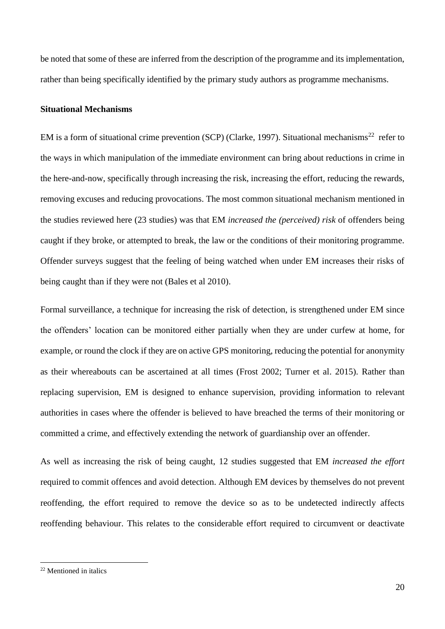be noted that some of these are inferred from the description of the programme and its implementation, rather than being specifically identified by the primary study authors as programme mechanisms.

#### **Situational Mechanisms**

EM is a form of situational crime prevention (SCP) (Clarke, 1997). Situational mechanisms<sup>22</sup> refer to the ways in which manipulation of the immediate environment can bring about reductions in crime in the here-and-now, specifically through increasing the risk, increasing the effort, reducing the rewards, removing excuses and reducing provocations. The most common situational mechanism mentioned in the studies reviewed here (23 studies) was that EM *increased the (perceived) risk* of offenders being caught if they broke, or attempted to break, the law or the conditions of their monitoring programme. Offender surveys suggest that the feeling of being watched when under EM increases their risks of being caught than if they were not (Bales et al 2010).

Formal surveillance, a technique for increasing the risk of detection, is strengthened under EM since the offenders' location can be monitored either partially when they are under curfew at home, for example, or round the clock if they are on active GPS monitoring, reducing the potential for anonymity as their whereabouts can be ascertained at all times (Frost 2002; Turner et al. 2015). Rather than replacing supervision, EM is designed to enhance supervision, providing information to relevant authorities in cases where the offender is believed to have breached the terms of their monitoring or committed a crime, and effectively extending the network of guardianship over an offender.

As well as increasing the risk of being caught, 12 studies suggested that EM *increased the effort* required to commit offences and avoid detection. Although EM devices by themselves do not prevent reoffending, the effort required to remove the device so as to be undetected indirectly affects reoffending behaviour. This relates to the considerable effort required to circumvent or deactivate

<u>.</u>

<sup>22</sup> Mentioned in italics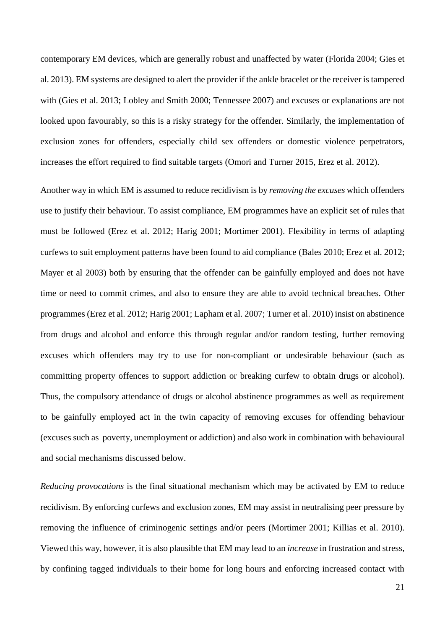contemporary EM devices, which are generally robust and unaffected by water (Florida 2004; Gies et al. 2013). EM systems are designed to alert the provider if the ankle bracelet or the receiver is tampered with (Gies et al. 2013; Lobley and Smith 2000; Tennessee 2007) and excuses or explanations are not looked upon favourably, so this is a risky strategy for the offender. Similarly, the implementation of exclusion zones for offenders, especially child sex offenders or domestic violence perpetrators, increases the effort required to find suitable targets (Omori and Turner 2015, Erez et al. 2012).

Another way in which EM is assumed to reduce recidivism is by *removing the excuses* which offenders use to justify their behaviour. To assist compliance, EM programmes have an explicit set of rules that must be followed (Erez et al. 2012; Harig 2001; Mortimer 2001). Flexibility in terms of adapting curfews to suit employment patterns have been found to aid compliance (Bales 2010; Erez et al. 2012; Mayer et al 2003) both by ensuring that the offender can be gainfully employed and does not have time or need to commit crimes, and also to ensure they are able to avoid technical breaches. Other programmes (Erez et al. 2012; Harig 2001; Lapham et al. 2007; Turner et al. 2010) insist on abstinence from drugs and alcohol and enforce this through regular and/or random testing, further removing excuses which offenders may try to use for non-compliant or undesirable behaviour (such as committing property offences to support addiction or breaking curfew to obtain drugs or alcohol). Thus, the compulsory attendance of drugs or alcohol abstinence programmes as well as requirement to be gainfully employed act in the twin capacity of removing excuses for offending behaviour (excuses such as poverty, unemployment or addiction) and also work in combination with behavioural and social mechanisms discussed below.

*Reducing provocations* is the final situational mechanism which may be activated by EM to reduce recidivism. By enforcing curfews and exclusion zones, EM may assist in neutralising peer pressure by removing the influence of criminogenic settings and/or peers (Mortimer 2001; Killias et al. 2010). Viewed this way, however, it is also plausible that EM may lead to an *increase* in frustration and stress, by confining tagged individuals to their home for long hours and enforcing increased contact with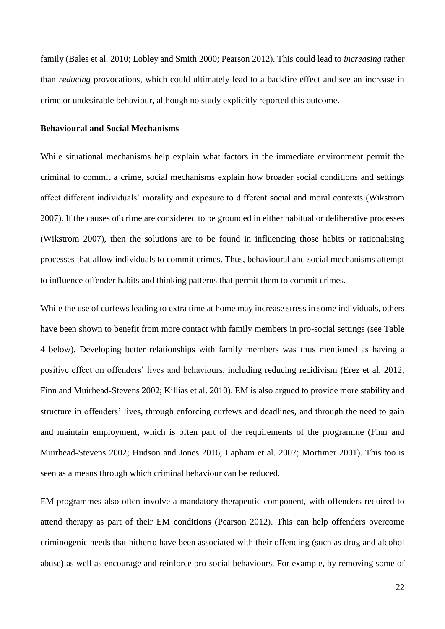family (Bales et al. 2010; Lobley and Smith 2000; Pearson 2012). This could lead to *increasing* rather than *reducing* provocations, which could ultimately lead to a backfire effect and see an increase in crime or undesirable behaviour, although no study explicitly reported this outcome.

## **Behavioural and Social Mechanisms**

While situational mechanisms help explain what factors in the immediate environment permit the criminal to commit a crime, social mechanisms explain how broader social conditions and settings affect different individuals' morality and exposure to different social and moral contexts (Wikstrom 2007). If the causes of crime are considered to be grounded in either habitual or deliberative processes (Wikstrom 2007), then the solutions are to be found in influencing those habits or rationalising processes that allow individuals to commit crimes. Thus, behavioural and social mechanisms attempt to influence offender habits and thinking patterns that permit them to commit crimes.

While the use of curfews leading to extra time at home may increase stress in some individuals, others have been shown to benefit from more contact with family members in pro-social settings (see Table 4 below). Developing better relationships with family members was thus mentioned as having a positive effect on offenders' lives and behaviours, including reducing recidivism (Erez et al. 2012; Finn and Muirhead-Stevens 2002; Killias et al. 2010). EM is also argued to provide more stability and structure in offenders' lives, through enforcing curfews and deadlines, and through the need to gain and maintain employment, which is often part of the requirements of the programme (Finn and Muirhead-Stevens 2002; Hudson and Jones 2016; Lapham et al. 2007; Mortimer 2001). This too is seen as a means through which criminal behaviour can be reduced.

EM programmes also often involve a mandatory therapeutic component, with offenders required to attend therapy as part of their EM conditions (Pearson 2012). This can help offenders overcome criminogenic needs that hitherto have been associated with their offending (such as drug and alcohol abuse) as well as encourage and reinforce pro-social behaviours. For example, by removing some of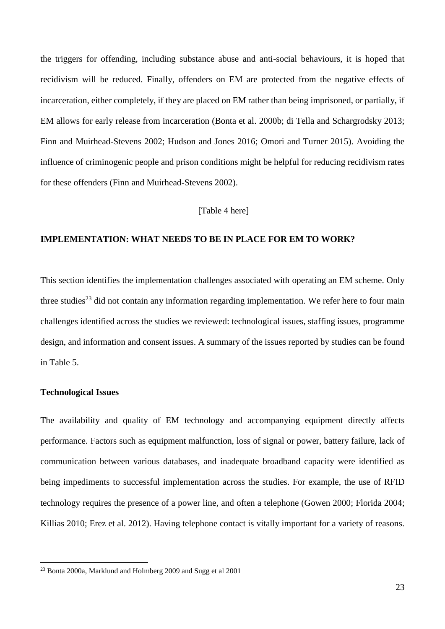the triggers for offending, including substance abuse and anti-social behaviours, it is hoped that recidivism will be reduced. Finally, offenders on EM are protected from the negative effects of incarceration, either completely, if they are placed on EM rather than being imprisoned, or partially, if EM allows for early release from incarceration (Bonta et al. 2000b; di Tella and Schargrodsky 2013; Finn and Muirhead-Stevens 2002; Hudson and Jones 2016; Omori and Turner 2015). Avoiding the influence of criminogenic people and prison conditions might be helpful for reducing recidivism rates for these offenders (Finn and Muirhead-Stevens 2002).

## [Table 4 here]

#### **IMPLEMENTATION: WHAT NEEDS TO BE IN PLACE FOR EM TO WORK?**

This section identifies the implementation challenges associated with operating an EM scheme. Only three studies<sup>23</sup> did not contain any information regarding implementation. We refer here to four main challenges identified across the studies we reviewed: technological issues, staffing issues, programme design, and information and consent issues. A summary of the issues reported by studies can be found in Table 5.

#### **Technological Issues**

<u>.</u>

The availability and quality of EM technology and accompanying equipment directly affects performance. Factors such as equipment malfunction, loss of signal or power, battery failure, lack of communication between various databases, and inadequate broadband capacity were identified as being impediments to successful implementation across the studies. For example, the use of RFID technology requires the presence of a power line, and often a telephone (Gowen 2000; Florida 2004; Killias 2010; Erez et al. 2012). Having telephone contact is vitally important for a variety of reasons.

<sup>&</sup>lt;sup>23</sup> Bonta 2000a, Marklund and Holmberg 2009 and Sugg et al 2001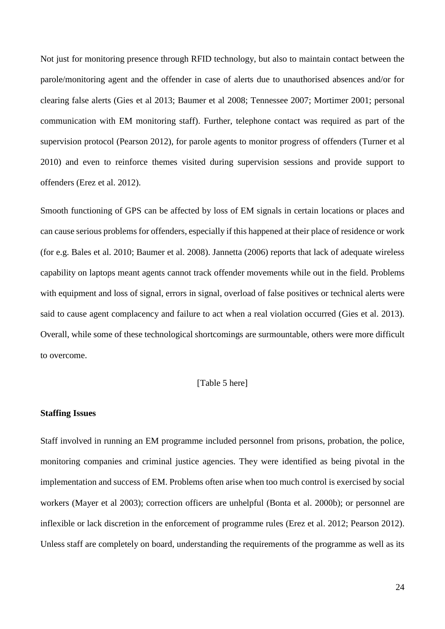Not just for monitoring presence through RFID technology, but also to maintain contact between the parole/monitoring agent and the offender in case of alerts due to unauthorised absences and/or for clearing false alerts (Gies et al 2013; Baumer et al 2008; Tennessee 2007; Mortimer 2001; personal communication with EM monitoring staff). Further, telephone contact was required as part of the supervision protocol (Pearson 2012), for parole agents to monitor progress of offenders (Turner et al 2010) and even to reinforce themes visited during supervision sessions and provide support to offenders (Erez et al. 2012).

Smooth functioning of GPS can be affected by loss of EM signals in certain locations or places and can cause serious problems for offenders, especially if this happened at their place of residence or work (for e.g. Bales et al. 2010; Baumer et al. 2008). Jannetta (2006) reports that lack of adequate wireless capability on laptops meant agents cannot track offender movements while out in the field. Problems with equipment and loss of signal, errors in signal, overload of false positives or technical alerts were said to cause agent complacency and failure to act when a real violation occurred (Gies et al. 2013). Overall, while some of these technological shortcomings are surmountable, others were more difficult to overcome.

# [Table 5 here]

#### **Staffing Issues**

Staff involved in running an EM programme included personnel from prisons, probation, the police, monitoring companies and criminal justice agencies. They were identified as being pivotal in the implementation and success of EM. Problems often arise when too much control is exercised by social workers (Mayer et al 2003); correction officers are unhelpful (Bonta et al. 2000b); or personnel are inflexible or lack discretion in the enforcement of programme rules (Erez et al. 2012; Pearson 2012). Unless staff are completely on board, understanding the requirements of the programme as well as its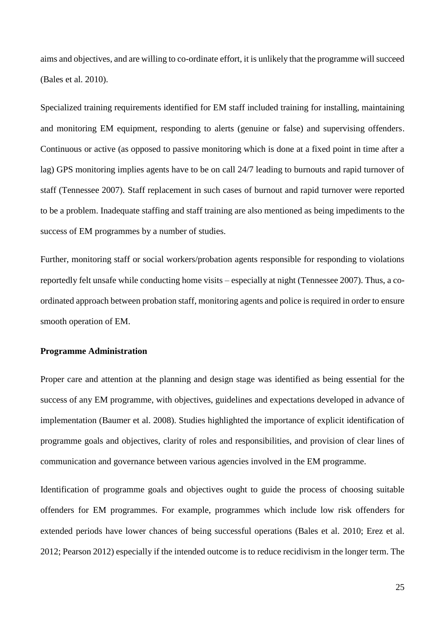aims and objectives, and are willing to co-ordinate effort, it is unlikely that the programme will succeed (Bales et al. 2010).

Specialized training requirements identified for EM staff included training for installing, maintaining and monitoring EM equipment, responding to alerts (genuine or false) and supervising offenders. Continuous or active (as opposed to passive monitoring which is done at a fixed point in time after a lag) GPS monitoring implies agents have to be on call 24/7 leading to burnouts and rapid turnover of staff (Tennessee 2007). Staff replacement in such cases of burnout and rapid turnover were reported to be a problem. Inadequate staffing and staff training are also mentioned as being impediments to the success of EM programmes by a number of studies.

Further, monitoring staff or social workers/probation agents responsible for responding to violations reportedly felt unsafe while conducting home visits – especially at night (Tennessee 2007). Thus, a coordinated approach between probation staff, monitoring agents and police is required in order to ensure smooth operation of EM.

#### **Programme Administration**

Proper care and attention at the planning and design stage was identified as being essential for the success of any EM programme, with objectives, guidelines and expectations developed in advance of implementation (Baumer et al. 2008). Studies highlighted the importance of explicit identification of programme goals and objectives, clarity of roles and responsibilities, and provision of clear lines of communication and governance between various agencies involved in the EM programme.

Identification of programme goals and objectives ought to guide the process of choosing suitable offenders for EM programmes. For example, programmes which include low risk offenders for extended periods have lower chances of being successful operations (Bales et al. 2010; Erez et al. 2012; Pearson 2012) especially if the intended outcome is to reduce recidivism in the longer term. The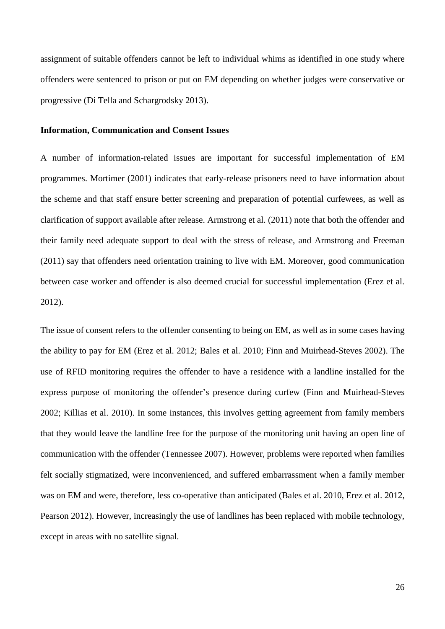assignment of suitable offenders cannot be left to individual whims as identified in one study where offenders were sentenced to prison or put on EM depending on whether judges were conservative or progressive (Di Tella and Schargrodsky 2013).

#### **Information, Communication and Consent Issues**

A number of information-related issues are important for successful implementation of EM programmes. Mortimer (2001) indicates that early-release prisoners need to have information about the scheme and that staff ensure better screening and preparation of potential curfewees, as well as clarification of support available after release. Armstrong et al. (2011) note that both the offender and their family need adequate support to deal with the stress of release, and Armstrong and Freeman (2011) say that offenders need orientation training to live with EM. Moreover, good communication between case worker and offender is also deemed crucial for successful implementation (Erez et al. 2012).

The issue of consent refers to the offender consenting to being on EM, as well as in some cases having the ability to pay for EM (Erez et al. 2012; Bales et al. 2010; Finn and Muirhead-Steves 2002). The use of RFID monitoring requires the offender to have a residence with a landline installed for the express purpose of monitoring the offender's presence during curfew (Finn and Muirhead-Steves 2002; Killias et al. 2010). In some instances, this involves getting agreement from family members that they would leave the landline free for the purpose of the monitoring unit having an open line of communication with the offender (Tennessee 2007). However, problems were reported when families felt socially stigmatized, were inconvenienced, and suffered embarrassment when a family member was on EM and were, therefore, less co-operative than anticipated (Bales et al. 2010, Erez et al. 2012, Pearson 2012). However, increasingly the use of landlines has been replaced with mobile technology, except in areas with no satellite signal.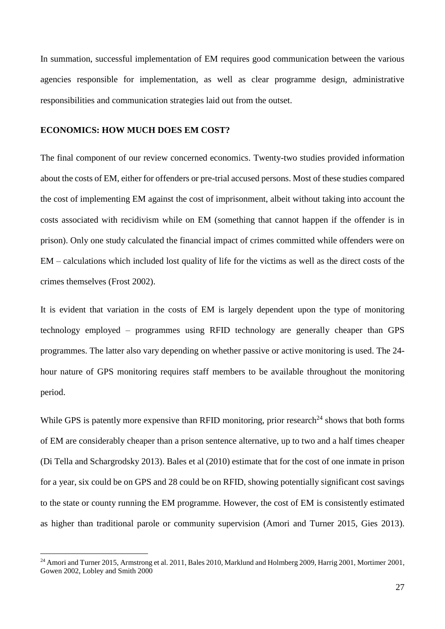In summation, successful implementation of EM requires good communication between the various agencies responsible for implementation, as well as clear programme design, administrative responsibilities and communication strategies laid out from the outset.

#### **ECONOMICS: HOW MUCH DOES EM COST?**

1

The final component of our review concerned economics. Twenty-two studies provided information about the costs of EM, either for offenders or pre-trial accused persons. Most of these studies compared the cost of implementing EM against the cost of imprisonment, albeit without taking into account the costs associated with recidivism while on EM (something that cannot happen if the offender is in prison). Only one study calculated the financial impact of crimes committed while offenders were on EM – calculations which included lost quality of life for the victims as well as the direct costs of the crimes themselves (Frost 2002).

It is evident that variation in the costs of EM is largely dependent upon the type of monitoring technology employed – programmes using RFID technology are generally cheaper than GPS programmes. The latter also vary depending on whether passive or active monitoring is used. The 24 hour nature of GPS monitoring requires staff members to be available throughout the monitoring period.

While GPS is patently more expensive than RFID monitoring, prior research<sup>24</sup> shows that both forms of EM are considerably cheaper than a prison sentence alternative, up to two and a half times cheaper (Di Tella and Schargrodsky 2013). Bales et al (2010) estimate that for the cost of one inmate in prison for a year, six could be on GPS and 28 could be on RFID, showing potentially significant cost savings to the state or county running the EM programme. However, the cost of EM is consistently estimated as higher than traditional parole or community supervision (Amori and Turner 2015, Gies 2013).

<sup>&</sup>lt;sup>24</sup> Amori and Turner 2015, Armstrong et al. 2011, Bales 2010, Marklund and Holmberg 2009, Harrig 2001, Mortimer 2001, Gowen 2002, Lobley and Smith 2000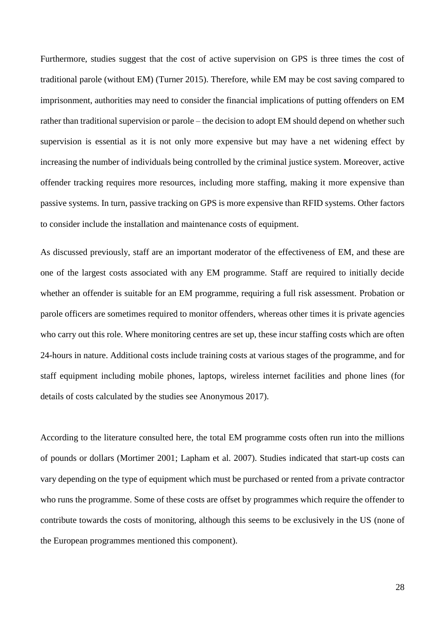Furthermore, studies suggest that the cost of active supervision on GPS is three times the cost of traditional parole (without EM) (Turner 2015). Therefore, while EM may be cost saving compared to imprisonment, authorities may need to consider the financial implications of putting offenders on EM rather than traditional supervision or parole – the decision to adopt EM should depend on whether such supervision is essential as it is not only more expensive but may have a net widening effect by increasing the number of individuals being controlled by the criminal justice system. Moreover, active offender tracking requires more resources, including more staffing, making it more expensive than passive systems. In turn, passive tracking on GPS is more expensive than RFID systems. Other factors to consider include the installation and maintenance costs of equipment.

As discussed previously, staff are an important moderator of the effectiveness of EM, and these are one of the largest costs associated with any EM programme. Staff are required to initially decide whether an offender is suitable for an EM programme, requiring a full risk assessment. Probation or parole officers are sometimes required to monitor offenders, whereas other times it is private agencies who carry out this role. Where monitoring centres are set up, these incur staffing costs which are often 24-hours in nature. Additional costs include training costs at various stages of the programme, and for staff equipment including mobile phones, laptops, wireless internet facilities and phone lines (for details of costs calculated by the studies see Anonymous 2017).

According to the literature consulted here, the total EM programme costs often run into the millions of pounds or dollars (Mortimer 2001; Lapham et al. 2007). Studies indicated that start-up costs can vary depending on the type of equipment which must be purchased or rented from a private contractor who runs the programme. Some of these costs are offset by programmes which require the offender to contribute towards the costs of monitoring, although this seems to be exclusively in the US (none of the European programmes mentioned this component).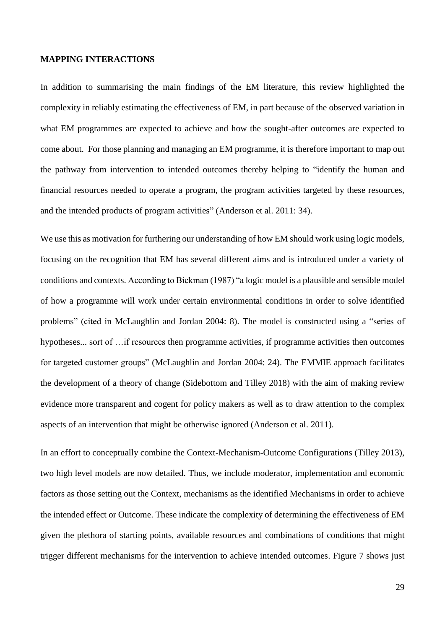#### **MAPPING INTERACTIONS**

In addition to summarising the main findings of the EM literature, this review highlighted the complexity in reliably estimating the effectiveness of EM, in part because of the observed variation in what EM programmes are expected to achieve and how the sought-after outcomes are expected to come about. For those planning and managing an EM programme, it is therefore important to map out the pathway from intervention to intended outcomes thereby helping to "identify the human and financial resources needed to operate a program, the program activities targeted by these resources, and the intended products of program activities" (Anderson et al. 2011: 34).

We use this as motivation for furthering our understanding of how EM should work using logic models, focusing on the recognition that EM has several different aims and is introduced under a variety of conditions and contexts. According to Bickman (1987) "a logic model is a plausible and sensible model of how a programme will work under certain environmental conditions in order to solve identified problems" (cited in McLaughlin and Jordan 2004: 8). The model is constructed using a "series of hypotheses... sort of …if resources then programme activities, if programme activities then outcomes for targeted customer groups" (McLaughlin and Jordan 2004: 24). The EMMIE approach facilitates the development of a theory of change (Sidebottom and Tilley 2018) with the aim of making review evidence more transparent and cogent for policy makers as well as to draw attention to the complex aspects of an intervention that might be otherwise ignored (Anderson et al. 2011).

In an effort to conceptually combine the Context-Mechanism-Outcome Configurations (Tilley 2013), two high level models are now detailed. Thus, we include moderator, implementation and economic factors as those setting out the Context, mechanisms as the identified Mechanisms in order to achieve the intended effect or Outcome. These indicate the complexity of determining the effectiveness of EM given the plethora of starting points, available resources and combinations of conditions that might trigger different mechanisms for the intervention to achieve intended outcomes. Figure 7 shows just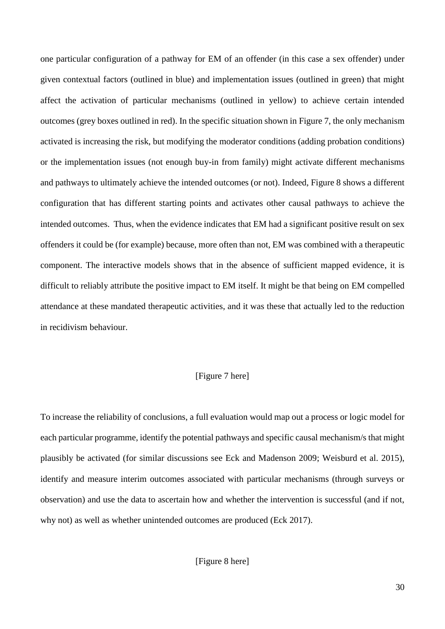one particular configuration of a pathway for EM of an offender (in this case a sex offender) under given contextual factors (outlined in blue) and implementation issues (outlined in green) that might affect the activation of particular mechanisms (outlined in yellow) to achieve certain intended outcomes (grey boxes outlined in red). In the specific situation shown in Figure 7, the only mechanism activated is increasing the risk, but modifying the moderator conditions (adding probation conditions) or the implementation issues (not enough buy-in from family) might activate different mechanisms and pathways to ultimately achieve the intended outcomes (or not). Indeed, Figure 8 shows a different configuration that has different starting points and activates other causal pathways to achieve the intended outcomes. Thus, when the evidence indicates that EM had a significant positive result on sex offenders it could be (for example) because, more often than not, EM was combined with a therapeutic component. The interactive models shows that in the absence of sufficient mapped evidence, it is difficult to reliably attribute the positive impact to EM itself. It might be that being on EM compelled attendance at these mandated therapeutic activities, and it was these that actually led to the reduction in recidivism behaviour.

## [Figure 7 here]

To increase the reliability of conclusions, a full evaluation would map out a process or logic model for each particular programme, identify the potential pathways and specific causal mechanism/s that might plausibly be activated (for similar discussions see Eck and Madenson 2009; Weisburd et al. 2015), identify and measure interim outcomes associated with particular mechanisms (through surveys or observation) and use the data to ascertain how and whether the intervention is successful (and if not, why not) as well as whether unintended outcomes are produced (Eck 2017).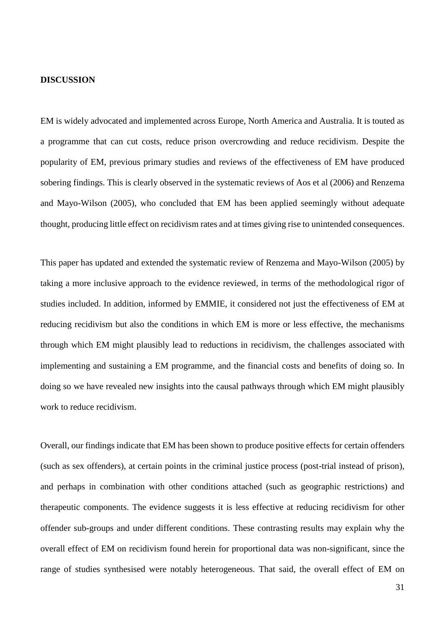#### **DISCUSSION**

EM is widely advocated and implemented across Europe, North America and Australia. It is touted as a programme that can cut costs, reduce prison overcrowding and reduce recidivism. Despite the popularity of EM, previous primary studies and reviews of the effectiveness of EM have produced sobering findings. This is clearly observed in the systematic reviews of Aos et al (2006) and Renzema and Mayo-Wilson (2005), who concluded that EM has been applied seemingly without adequate thought, producing little effect on recidivism rates and at times giving rise to unintended consequences.

This paper has updated and extended the systematic review of Renzema and Mayo-Wilson (2005) by taking a more inclusive approach to the evidence reviewed, in terms of the methodological rigor of studies included. In addition, informed by EMMIE, it considered not just the effectiveness of EM at reducing recidivism but also the conditions in which EM is more or less effective, the mechanisms through which EM might plausibly lead to reductions in recidivism, the challenges associated with implementing and sustaining a EM programme, and the financial costs and benefits of doing so. In doing so we have revealed new insights into the causal pathways through which EM might plausibly work to reduce recidivism.

Overall, our findings indicate that EM has been shown to produce positive effects for certain offenders (such as sex offenders), at certain points in the criminal justice process (post-trial instead of prison), and perhaps in combination with other conditions attached (such as geographic restrictions) and therapeutic components. The evidence suggests it is less effective at reducing recidivism for other offender sub-groups and under different conditions. These contrasting results may explain why the overall effect of EM on recidivism found herein for proportional data was non-significant, since the range of studies synthesised were notably heterogeneous. That said, the overall effect of EM on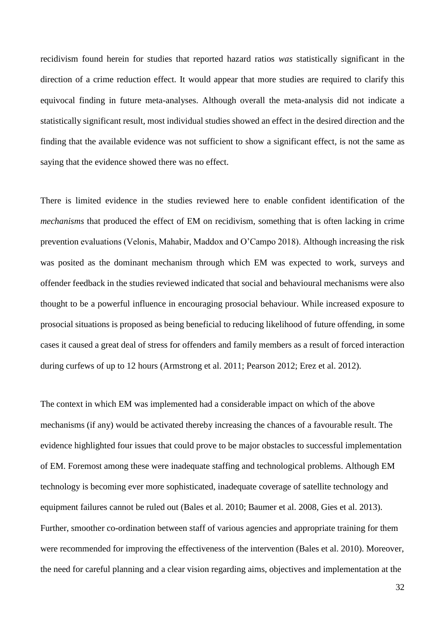recidivism found herein for studies that reported hazard ratios *was* statistically significant in the direction of a crime reduction effect. It would appear that more studies are required to clarify this equivocal finding in future meta-analyses. Although overall the meta-analysis did not indicate a statistically significant result, most individual studies showed an effect in the desired direction and the finding that the available evidence was not sufficient to show a significant effect, is not the same as saying that the evidence showed there was no effect.

There is limited evidence in the studies reviewed here to enable confident identification of the *mechanisms* that produced the effect of EM on recidivism, something that is often lacking in crime prevention evaluations (Velonis, Mahabir, Maddox and O'Campo 2018). Although increasing the risk was posited as the dominant mechanism through which EM was expected to work, surveys and offender feedback in the studies reviewed indicated that social and behavioural mechanisms were also thought to be a powerful influence in encouraging prosocial behaviour. While increased exposure to prosocial situations is proposed as being beneficial to reducing likelihood of future offending, in some cases it caused a great deal of stress for offenders and family members as a result of forced interaction during curfews of up to 12 hours (Armstrong et al. 2011; Pearson 2012; Erez et al. 2012).

The context in which EM was implemented had a considerable impact on which of the above mechanisms (if any) would be activated thereby increasing the chances of a favourable result. The evidence highlighted four issues that could prove to be major obstacles to successful implementation of EM. Foremost among these were inadequate staffing and technological problems. Although EM technology is becoming ever more sophisticated, inadequate coverage of satellite technology and equipment failures cannot be ruled out (Bales et al. 2010; Baumer et al. 2008, Gies et al. 2013). Further, smoother co-ordination between staff of various agencies and appropriate training for them were recommended for improving the effectiveness of the intervention (Bales et al. 2010). Moreover, the need for careful planning and a clear vision regarding aims, objectives and implementation at the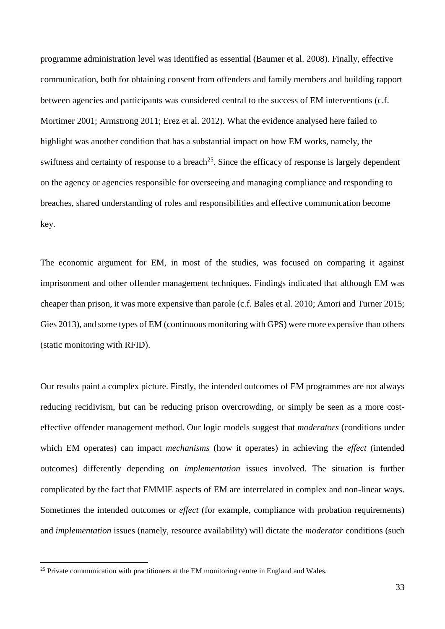programme administration level was identified as essential (Baumer et al. 2008). Finally, effective communication, both for obtaining consent from offenders and family members and building rapport between agencies and participants was considered central to the success of EM interventions (c.f. Mortimer 2001; Armstrong 2011; Erez et al. 2012). What the evidence analysed here failed to highlight was another condition that has a substantial impact on how EM works, namely, the swiftness and certainty of response to a breach<sup>25</sup>. Since the efficacy of response is largely dependent on the agency or agencies responsible for overseeing and managing compliance and responding to breaches, shared understanding of roles and responsibilities and effective communication become key.

The economic argument for EM, in most of the studies, was focused on comparing it against imprisonment and other offender management techniques. Findings indicated that although EM was cheaper than prison, it was more expensive than parole (c.f. Bales et al. 2010; Amori and Turner 2015; Gies 2013), and some types of EM (continuous monitoring with GPS) were more expensive than others (static monitoring with RFID).

Our results paint a complex picture. Firstly, the intended outcomes of EM programmes are not always reducing recidivism, but can be reducing prison overcrowding, or simply be seen as a more costeffective offender management method. Our logic models suggest that *moderators* (conditions under which EM operates) can impact *mechanisms* (how it operates) in achieving the *effect* (intended outcomes) differently depending on *implementation* issues involved. The situation is further complicated by the fact that EMMIE aspects of EM are interrelated in complex and non-linear ways. Sometimes the intended outcomes or *effect* (for example, compliance with probation requirements) and *implementation* issues (namely, resource availability) will dictate the *moderator* conditions (such

<u>.</u>

<sup>&</sup>lt;sup>25</sup> Private communication with practitioners at the EM monitoring centre in England and Wales.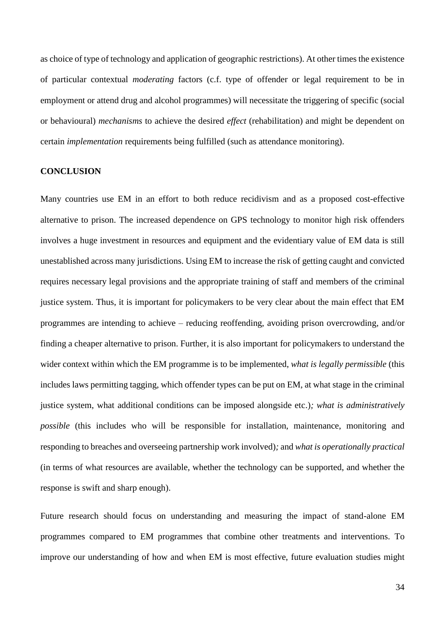as choice of type of technology and application of geographic restrictions). At other times the existence of particular contextual *moderating* factors (c.f. type of offender or legal requirement to be in employment or attend drug and alcohol programmes) will necessitate the triggering of specific (social or behavioural) *mechanisms* to achieve the desired *effect* (rehabilitation) and might be dependent on certain *implementation* requirements being fulfilled (such as attendance monitoring).

## **CONCLUSION**

Many countries use EM in an effort to both reduce recidivism and as a proposed cost-effective alternative to prison. The increased dependence on GPS technology to monitor high risk offenders involves a huge investment in resources and equipment and the evidentiary value of EM data is still unestablished across many jurisdictions. Using EM to increase the risk of getting caught and convicted requires necessary legal provisions and the appropriate training of staff and members of the criminal justice system. Thus, it is important for policymakers to be very clear about the main effect that EM programmes are intending to achieve – reducing reoffending, avoiding prison overcrowding, and/or finding a cheaper alternative to prison. Further, it is also important for policymakers to understand the wider context within which the EM programme is to be implemented, *what is legally permissible* (this includes laws permitting tagging, which offender types can be put on EM, at what stage in the criminal justice system, what additional conditions can be imposed alongside etc.)*; what is administratively possible* (this includes who will be responsible for installation, maintenance, monitoring and responding to breaches and overseeing partnership work involved)*;* and *what is operationally practical*  (in terms of what resources are available, whether the technology can be supported, and whether the response is swift and sharp enough).

Future research should focus on understanding and measuring the impact of stand-alone EM programmes compared to EM programmes that combine other treatments and interventions. To improve our understanding of how and when EM is most effective, future evaluation studies might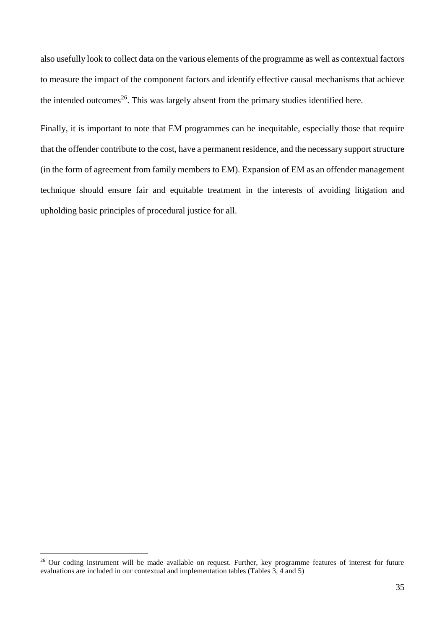also usefully look to collect data on the various elements of the programme as well as contextual factors to measure the impact of the component factors and identify effective causal mechanisms that achieve the intended outcomes<sup>26</sup>. This was largely absent from the primary studies identified here.

Finally, it is important to note that EM programmes can be inequitable, especially those that require that the offender contribute to the cost, have a permanent residence, and the necessary support structure (in the form of agreement from family members to EM). Expansion of EM as an offender management technique should ensure fair and equitable treatment in the interests of avoiding litigation and upholding basic principles of procedural justice for all.

<sup>&</sup>lt;sup>26</sup> Our coding instrument will be made available on request. Further, key programme features of interest for future evaluations are included in our contextual and implementation tables (Tables 3, 4 and 5)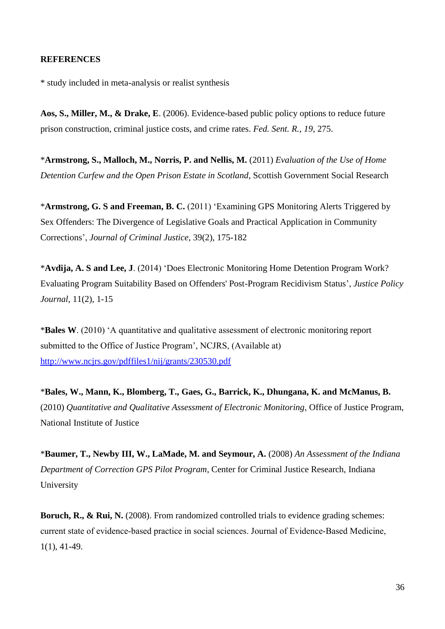## **REFERENCES**

\* study included in meta-analysis or realist synthesis

**Aos, S., Miller, M., & Drake, E**. (2006). Evidence-based public policy options to reduce future prison construction, criminal justice costs, and crime rates. *Fed. Sent. R.*, *19*, 275.

\***Armstrong, S., Malloch, M., Norris, P. and Nellis, M.** (2011) *Evaluation of the Use of Home Detention Curfew and the Open Prison Estate in Scotland*, Scottish Government Social Research

\***Armstrong, G. S and Freeman, B. C.** (2011) 'Examining GPS Monitoring Alerts Triggered by Sex Offenders: The Divergence of Legislative Goals and Practical Application in Community Corrections', *Journal of Criminal Justice*, 39(2), 175-182

\***Avdija, A. S and Lee, J**. (2014) 'Does Electronic Monitoring Home Detention Program Work? Evaluating Program Suitability Based on Offenders' Post-Program Recidivism Status', *Justice Policy Journal*, 11(2), 1-15

\***Bales W**. (2010) 'A quantitative and qualitative assessment of electronic monitoring report submitted to the Office of Justice Program', NCJRS, (Available at) <http://www.ncjrs.gov/pdffiles1/nij/grants/230530.pdf>

\***Bales, W., Mann, K., Blomberg, T., Gaes, G., Barrick, K., Dhungana, K. and McManus, B.** (2010) *Quantitative and Qualitative Assessment of Electronic Monitoring*, Office of Justice Program, National Institute of Justice

\***Baumer, T., Newby III, W., LaMade, M. and Seymour, A.** (2008) *An Assessment of the Indiana Department of Correction GPS Pilot Program*, Center for Criminal Justice Research, Indiana University

**Boruch, R., & Rui, N.** (2008). From randomized controlled trials to evidence grading schemes: current state of evidence‐based practice in social sciences. Journal of Evidence‐Based Medicine, 1(1), 41-49.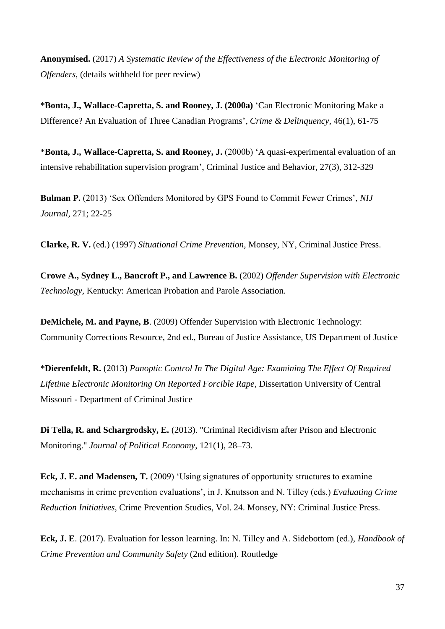**Anonymised.** (2017) *A Systematic Review of the Effectiveness of the Electronic Monitoring of Offenders*, (details withheld for peer review)

\***Bonta, J., Wallace-Capretta, S. and Rooney, J. (2000a)** 'Can Electronic Monitoring Make a Difference? An Evaluation of Three Canadian Programs', *Crime & Delinquency*, 46(1), 61-75

\***Bonta, J., Wallace-Capretta, S. and Rooney, J.** (2000b) 'A quasi-experimental evaluation of an intensive rehabilitation supervision program', Criminal Justice and Behavior, 27(3), 312-329

**Bulman P.** (2013) 'Sex Offenders Monitored by GPS Found to Commit Fewer Crimes', *NIJ Journal,* 271; 22-25

**Clarke, R. V.** (ed.) (1997) *Situational Crime Prevention*, Monsey, NY, Criminal Justice Press.

**Crowe A., Sydney L., Bancroft P., and Lawrence B.** (2002) *Offender Supervision with Electronic Technology,* Kentucky: American Probation and Parole Association.

**DeMichele, M. and Payne, B**. (2009) Offender Supervision with Electronic Technology: Community Corrections Resource, 2nd ed., Bureau of Justice Assistance, US Department of Justice

\***Dierenfeldt, R.** (2013) *Panoptic Control In The Digital Age: Examining The Effect Of Required Lifetime Electronic Monitoring On Reported Forcible Rape*, Dissertation University of Central Missouri - Department of Criminal Justice

**Di Tella, R. and Schargrodsky, E.** (2013). "Criminal Recidivism after Prison and Electronic Monitoring." *Journal of Political Economy*, 121(1), 28–73.

**Eck, J. E. and Madensen, T.** (2009) 'Using signatures of opportunity structures to examine mechanisms in crime prevention evaluations', in J. Knutsson and N. Tilley (eds.) *Evaluating Crime Reduction Initiatives*, Crime Prevention Studies, Vol. 24. Monsey, NY: Criminal Justice Press.

**Eck, J. E**. (2017). Evaluation for lesson learning. In: N. Tilley and A. Sidebottom (ed.), *Handbook of Crime Prevention and Community Safety* (2nd edition). Routledge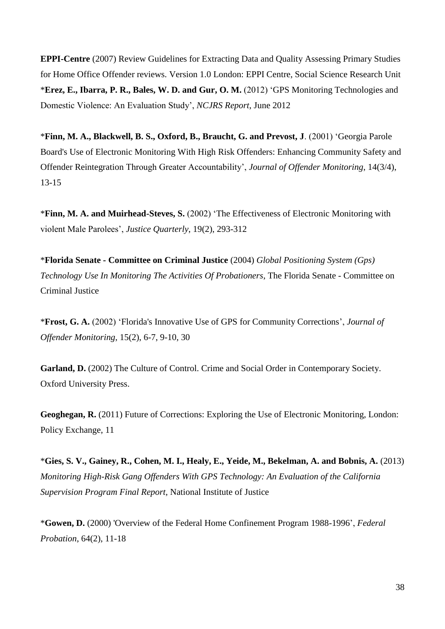**EPPI-Centre** (2007) Review Guidelines for Extracting Data and Quality Assessing Primary Studies for Home Office Offender reviews. Version 1.0 London: EPPI Centre, Social Science Research Unit \***Erez, E., Ibarra, P. R., Bales, W. D. and Gur, O. M.** (2012) 'GPS Monitoring Technologies and Domestic Violence: An Evaluation Study', *NCJRS Report*, June 2012

\***Finn, M. A., Blackwell, B. S., Oxford, B., Braucht, G. and Prevost, J**. (2001) 'Georgia Parole Board's Use of Electronic Monitoring With High Risk Offenders: Enhancing Community Safety and Offender Reintegration Through Greater Accountability', *Journal of Offender Monitoring*, 14(3/4), 13-15

\***Finn, M. A. and Muirhead-Steves, S.** (2002) 'The Effectiveness of Electronic Monitoring with violent Male Parolees', *Justice Quarterly*, 19(2), 293-312

\***Florida Senate - Committee on Criminal Justice** (2004) *Global Positioning System (Gps) Technology Use In Monitoring The Activities Of Probationers*, The Florida Senate - Committee on Criminal Justice

\***Frost, G. A.** (2002) 'Florida's Innovative Use of GPS for Community Corrections', *Journal of Offender Monitoring*, 15(2), 6-7, 9-10, 30

**Garland, D.** (2002) The Culture of Control. Crime and Social Order in Contemporary Society. Oxford University Press.

**Geoghegan, R.** (2011) Future of Corrections: Exploring the Use of Electronic Monitoring, London: Policy Exchange, 11

\***Gies, S. V., Gainey, R., Cohen, M. I., Healy, E., Yeide, M., Bekelman, A. and Bobnis, A.** (2013) *Monitoring High-Risk Gang Offenders With GPS Technology: An Evaluation of the California Supervision Program Final Report*, National Institute of Justice

\***Gowen, D.** (2000) 'Overview of the Federal Home Confinement Program 1988-1996', *Federal Probation*, 64(2), 11-18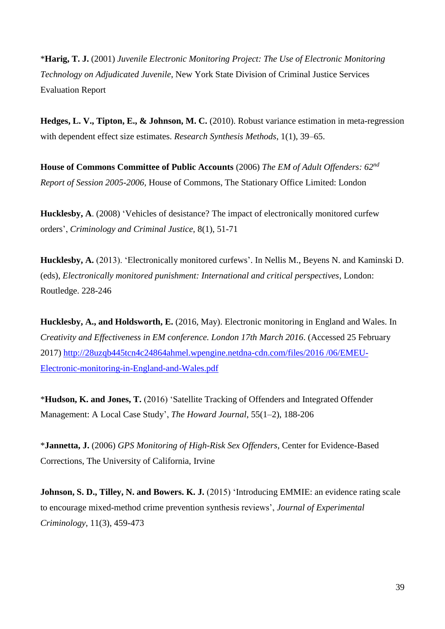\***Harig, T. J.** (2001) *Juvenile Electronic Monitoring Project: The Use of Electronic Monitoring Technology on Adjudicated Juvenile*, New York State Division of Criminal Justice Services Evaluation Report

**Hedges, L. V., Tipton, E., & Johnson, M. C.** (2010). Robust variance estimation in meta-regression with dependent effect size estimates. *Research Synthesis Methods*, 1(1), 39–65.

**House of Commons Committee of Public Accounts** (2006) *The EM of Adult Offenders: 62nd Report of Session 2005-2006,* House of Commons, The Stationary Office Limited: London

**Hucklesby, A**. (2008) 'Vehicles of desistance? The impact of electronically monitored curfew orders', *Criminology and Criminal Justice,* 8(1), 51-71

**Hucklesby, A.** (2013). 'Electronically monitored curfews'. In Nellis M., Beyens N. and Kaminski D. (eds), *Electronically monitored punishment: International and critical perspectives*, London: Routledge. 228-246

**Hucklesby, A., and Holdsworth, E.** (2016, May). Electronic monitoring in England and Wales. In *Creativity and Effectiveness in EM conference. London 17th March 2016*. (Accessed 25 February 2017) [http://28uzqb445tcn4c24864ahmel.wpengine.netdna-cdn.com/files/2016 /06/EMEU-](http://28uzqb445tcn4c24864ahmel.wpengine.netdna-cdn.com/files/2016%20/06/EMEU-Electronic-monitoring-in-England-and-Wales.pdf)[Electronic-monitoring-in-England-and-Wales.pdf](http://28uzqb445tcn4c24864ahmel.wpengine.netdna-cdn.com/files/2016%20/06/EMEU-Electronic-monitoring-in-England-and-Wales.pdf)

\***Hudson, K. and Jones, T.** (2016) 'Satellite Tracking of Offenders and Integrated Offender Management: A Local Case Study', *The Howard Journal*, 55(1–2), 188-206

\***Jannetta, J.** (2006) *GPS Monitoring of High-Risk Sex Offenders*, Center for Evidence-Based Corrections, The University of California, Irvine

**Johnson, S. D., Tilley, N. and Bowers. K. J.** (2015) 'Introducing EMMIE: an evidence rating scale to encourage mixed-method crime prevention synthesis reviews', *Journal of Experimental Criminology*, 11(3), 459-473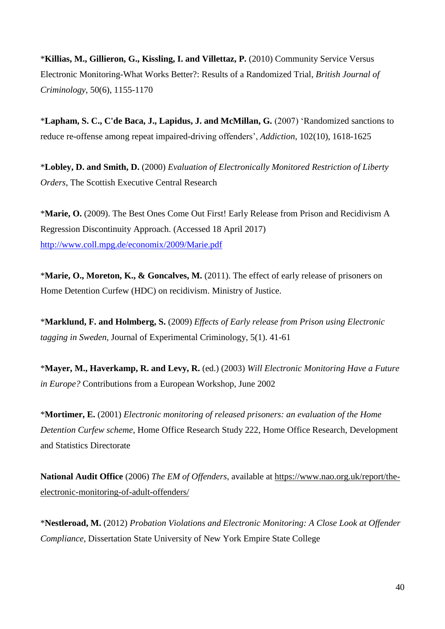\***Killias, M., Gillieron, G., Kissling, I. and Villettaz, P.** (2010) Community Service Versus Electronic Monitoring-What Works Better?: Results of a Randomized Trial, *British Journal of Criminology*, 50(6), 1155-1170

\***Lapham, S. C., C'de Baca, J., Lapidus, J. and McMillan, G.** (2007) 'Randomized sanctions to reduce re-offense among repeat impaired-driving offenders', *Addiction*, 102(10), 1618-1625

\***Lobley, D. and Smith, D.** (2000) *Evaluation of Electronically Monitored Restriction of Liberty Orders*, The Scottish Executive Central Research

\***Marie, O.** (2009). The Best Ones Come Out First! Early Release from Prison and Recidivism A Regression Discontinuity Approach. (Accessed 18 April 2017) <http://www.coll.mpg.de/economix/2009/Marie.pdf>

\***Marie, O., Moreton, K., & Goncalves, M.** (2011). The effect of early release of prisoners on Home Detention Curfew (HDC) on recidivism. Ministry of Justice.

\***Marklund, F. and Holmberg, S.** (2009) *Effects of Early release from Prison using Electronic tagging in Sweden,* Journal of Experimental Criminology, 5(1). 41-61

\***Mayer, M., Haverkamp, R. and Levy, R.** (ed.) (2003) *Will Electronic Monitoring Have a Future in Europe?* Contributions from a European Workshop, June 2002

\***Mortimer, E.** (2001) *Electronic monitoring of released prisoners: an evaluation of the Home Detention Curfew scheme*, Home Office Research Study 222, Home Office Research, Development and Statistics Directorate

**National Audit Office** (2006) *The EM of Offenders*, available at [https://www.nao.org.uk/report/the](https://www.nao.org.uk/report/the-electronic-monitoring-of-adult-offenders/)[electronic-monitoring-of-adult-offenders/](https://www.nao.org.uk/report/the-electronic-monitoring-of-adult-offenders/)

\***Nestleroad, M.** (2012) *Probation Violations and Electronic Monitoring: A Close Look at Offender Compliance*, Dissertation State University of New York Empire State College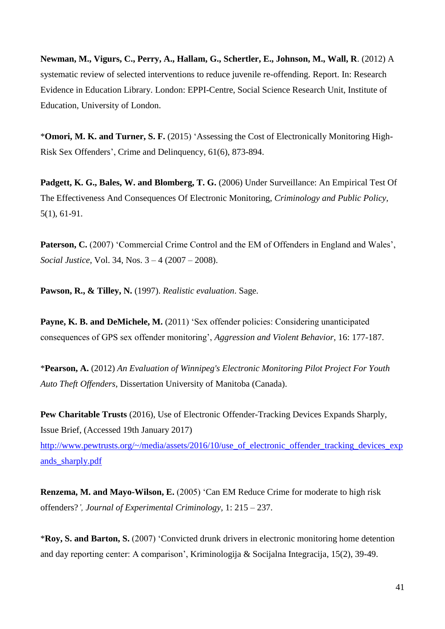**Newman, M., Vigurs, C., Perry, A., Hallam, G., Schertler, E., Johnson, M., Wall, R**. (2012) A systematic review of selected interventions to reduce juvenile re-offending. Report. In: Research Evidence in Education Library. London: EPPI-Centre, Social Science Research Unit, Institute of Education, University of London.

\***Omori, M. K. and Turner, S. F.** (2015) 'Assessing the Cost of Electronically Monitoring High-Risk Sex Offenders', Crime and Delinquency, 61(6), 873-894.

**Padgett, K. G., Bales, W. and Blomberg, T. G.** (2006) Under Surveillance: An Empirical Test Of The Effectiveness And Consequences Of Electronic Monitoring, *Criminology and Public Policy,*  5(1), 61-91.

Paterson, C. (2007) 'Commercial Crime Control and the EM of Offenders in England and Wales', *Social Justice*, Vol. 34, Nos. 3 – 4 (2007 – 2008).

**Pawson, R., & Tilley, N.** (1997). *Realistic evaluation*. Sage.

Payne, K. B. and DeMichele, M. (2011) 'Sex offender policies: Considering unanticipated consequences of GPS sex offender monitoring', *Aggression and Violent Behavior*, 16: 177-187.

\***Pearson, A.** (2012) *An Evaluation of Winnipeg's Electronic Monitoring Pilot Project For Youth Auto Theft Offenders*, Dissertation University of Manitoba (Canada).

**Pew Charitable Trusts** (2016), Use of Electronic Offender-Tracking Devices Expands Sharply, Issue Brief, (Accessed 19th January 2017)

http://www.pewtrusts.org/~/media/assets/2016/10/use of electronic offender tracking devices exp [ands\\_sharply.pdf](http://www.pewtrusts.org/~/media/assets/2016/10/use_of_electronic_offender_tracking_devices_expands_sharply.pdf)

**Renzema, M. and Mayo-Wilson, E.** (2005) 'Can EM Reduce Crime for moderate to high risk offenders?*', Journal of Experimental Criminology,* 1: 215 – 237.

\***Roy, S. and Barton, S.** (2007) 'Convicted drunk drivers in electronic monitoring home detention and day reporting center: A comparison', Kriminologija & Socijalna Integracija, 15(2), 39-49.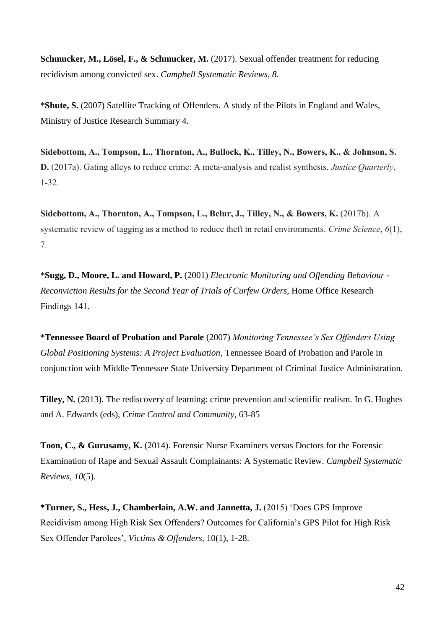**Schmucker, M., Lösel, F., & Schmucker, M.** (2017). Sexual offender treatment for reducing recidivism among convicted sex. *Campbell Systematic Reviews*, *8*.

\***Shute, S.** (2007) Satellite Tracking of Offenders. A study of the Pilots in England and Wales, Ministry of Justice Research Summary 4.

**Sidebottom, A., Tompson, L., Thornton, A., Bullock, K., Tilley, N., Bowers, K., & Johnson, S. D.** (2017a). Gating alleys to reduce crime: A meta-analysis and realist synthesis. *Justice Quarterly*, 1-32.

**Sidebottom, A., Thornton, A., Tompson, L., Belur, J., Tilley, N., & Bowers, K.** (2017b). A systematic review of tagging as a method to reduce theft in retail environments. *Crime Science*, *6*(1), 7.

\***Sugg, D., Moore, L. and Howard, P.** (2001) *Electronic Monitoring and Offending Behaviour - Reconviction Results for the Second Year of Trials of Curfew Orders*, Home Office Research Findings 141.

\***Tennessee Board of Probation and Parole** (2007) *Monitoring Tennessee's Sex Offenders Using Global Positioning Systems: A Project Evaluation*, Tennessee Board of Probation and Parole in conjunction with Middle Tennessee State University Department of Criminal Justice Administration.

**Tilley, N.** (2013). The rediscovery of learning: crime prevention and scientific realism. In G. Hughes and A. Edwards (eds), *Crime Control and Community*, 63-85

**Toon, C., & Gurusamy, K.** (2014). Forensic Nurse Examiners versus Doctors for the Forensic Examination of Rape and Sexual Assault Complainants: A Systematic Review. *Campbell Systematic Reviews*, *10*(5).

**\*Turner, S., Hess, J., Chamberlain, A.W. and Jannetta, J.** (2015) 'Does GPS Improve Recidivism among High Risk Sex Offenders? Outcomes for California's GPS Pilot for High Risk Sex Offender Parolees', *Victims & Offenders*, 10(1), 1-28.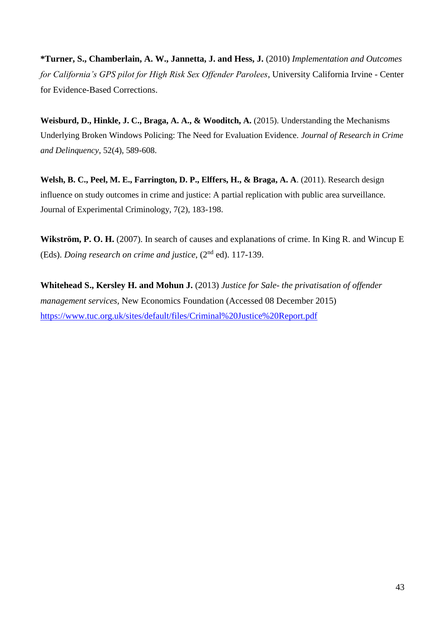**\*Turner, S., Chamberlain, A. W., Jannetta, J. and Hess, J.** (2010) *Implementation and Outcomes for California's GPS pilot for High Risk Sex Offender Parolees*, University California Irvine - Center for Evidence-Based Corrections.

**Weisburd, D., Hinkle, J. C., Braga, A. A., & Wooditch, A.** (2015). Understanding the Mechanisms Underlying Broken Windows Policing: The Need for Evaluation Evidence. *Journal of Research in Crime and Delinquency*, 52(4), 589-608.

**Welsh, B. C., Peel, M. E., Farrington, D. P., Elffers, H., & Braga, A. A**. (2011). Research design influence on study outcomes in crime and justice: A partial replication with public area surveillance. Journal of Experimental Criminology, 7(2), 183-198.

**Wikström, P. O. H.** (2007). In search of causes and explanations of crime. In King R. and Wincup E (Eds). *Doing research on crime and justice*, (2nd ed). 117-139.

**Whitehead S., Kersley H. and Mohun J.** (2013) *Justice for Sale- the privatisation of offender management services,* New Economics Foundation (Accessed 08 December 2015) <https://www.tuc.org.uk/sites/default/files/Criminal%20Justice%20Report.pdf>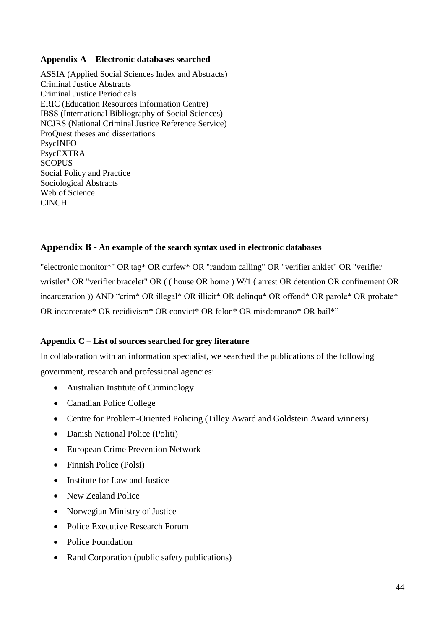# **Appendix A – Electronic databases searched**

ASSIA (Applied Social Sciences Index and Abstracts) Criminal Justice Abstracts Criminal Justice Periodicals ERIC (Education Resources Information Centre) IBSS (International Bibliography of Social Sciences) NCJRS (National Criminal Justice Reference Service) ProQuest theses and dissertations PsycINFO PsycEXTRA **SCOPUS** Social Policy and Practice Sociological Abstracts Web of Science **CINCH** 

# **Appendix B - An example of the search syntax used in electronic databases**

"electronic monitor\*" OR tag\* OR curfew\* OR "random calling" OR "verifier anklet" OR "verifier wristlet" OR "verifier bracelet" OR ( ( house OR home ) W/1 ( arrest OR detention OR confinement OR incarceration )) AND "crim\* OR illegal\* OR illicit\* OR delinqu\* OR offend\* OR parole\* OR probate\* OR incarcerate\* OR recidivism\* OR convict\* OR felon\* OR misdemeano\* OR bail\*"

# **Appendix C – List of sources searched for grey literature**

In collaboration with an information specialist, we searched the publications of the following government, research and professional agencies:

- Australian Institute of Criminology
- Canadian Police College
- Centre for Problem-Oriented Policing (Tilley Award and Goldstein Award winners)
- Danish National Police (Politi)
- European Crime Prevention Network
- Finnish Police (Polsi)
- Institute for Law and Justice
- New Zealand Police
- Norwegian Ministry of Justice
- Police Executive Research Forum
- Police Foundation
- Rand Corporation (public safety publications)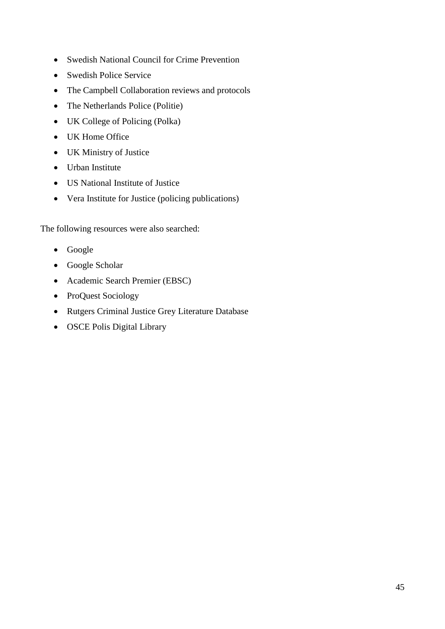- Swedish National Council for Crime Prevention
- Swedish Police Service
- The Campbell Collaboration reviews and protocols
- The Netherlands Police (Politie)
- UK College of Policing (Polka)
- UK Home Office
- UK Ministry of Justice
- Urban Institute
- US National Institute of Justice
- Vera Institute for Justice (policing publications)

The following resources were also searched:

- Google
- Google Scholar
- Academic Search Premier (EBSC)
- ProQuest Sociology
- Rutgers Criminal Justice Grey Literature Database
- OSCE Polis Digital Library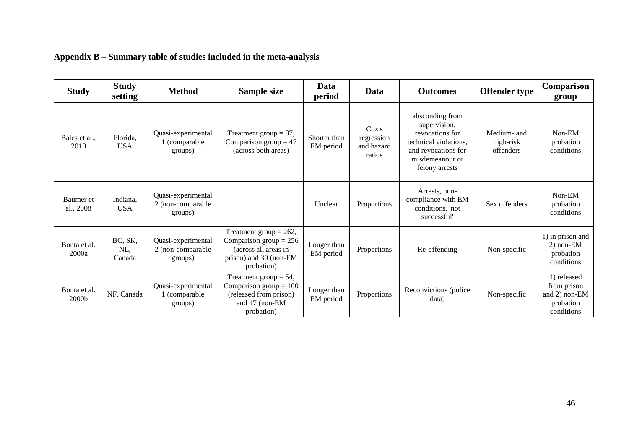| <b>Study</b>                      | <b>Study</b><br>setting  | <b>Method</b>                                      | Sample size                                                                                                           | Data<br>period            | Data                                        | <b>Outcomes</b>                                                                                                                         | <b>Offender type</b>                  | Comparison<br>group                                                    |
|-----------------------------------|--------------------------|----------------------------------------------------|-----------------------------------------------------------------------------------------------------------------------|---------------------------|---------------------------------------------|-----------------------------------------------------------------------------------------------------------------------------------------|---------------------------------------|------------------------------------------------------------------------|
| Bales et al.,<br>2010             | Florida,<br><b>USA</b>   | Quasi-experimental<br>1 (comparable<br>groups)     | Treatment group = $87$ ,<br>Comparison group $= 47$<br>(across both areas)                                            | Shorter than<br>EM period | Cox's<br>regression<br>and hazard<br>ratios | absconding from<br>supervision,<br>revocations for<br>technical violations,<br>and revocations for<br>misdemeanour or<br>felony arrests | Medium- and<br>high-risk<br>offenders | $Non-EM$<br>probation<br>conditions                                    |
| Baumer et<br>al., 2008            | Indiana,<br><b>USA</b>   | Quasi-experimental<br>2 (non-comparable<br>groups) |                                                                                                                       | Unclear                   | Proportions                                 | Arrests, non-<br>compliance with EM<br>conditions, 'not<br>successful'                                                                  | Sex offenders                         | $Non-EM$<br>probation<br>conditions                                    |
| Bonta et al.<br>2000a             | BC, SK,<br>NL,<br>Canada | Quasi-experimental<br>2 (non-comparable<br>groups) | Treatment group = $262$ ,<br>Comparison group = $256$<br>(across all areas in<br>prison) and 30 (non-EM<br>probation) | Longer than<br>EM period  | Proportions                                 | Re-offending                                                                                                                            | Non-specific                          | 1) in prison and<br>$2)$ non-EM<br>probation<br>conditions             |
| Bonta et al.<br>2000 <sub>b</sub> | NF, Canada               | Quasi-experimental<br>1 (comparable<br>groups)     | Treatment group $= 54$ ,<br>Comparison group $= 100$<br>(released from prison)<br>and 17 (non-EM<br>probation)        | Longer than<br>EM period  | Proportions                                 | Reconvictions (police<br>data)                                                                                                          | Non-specific                          | 1) released<br>from prison<br>and 2) non-EM<br>probation<br>conditions |

# **Appendix B – Summary table of studies included in the meta-analysis**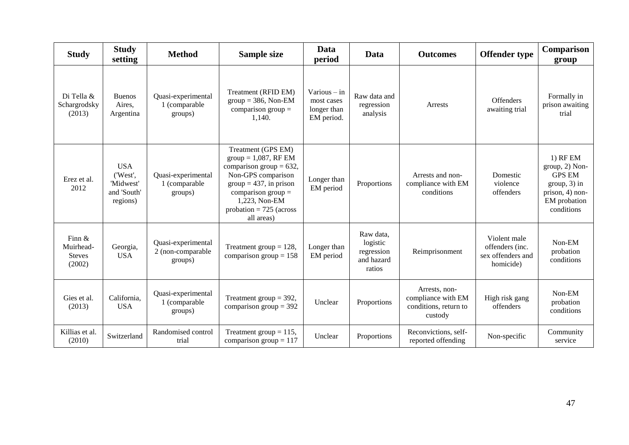| <b>Study</b>                                      | <b>Study</b><br>setting                                        | <b>Method</b>                                      | <b>Sample size</b>                                                                                                                                                                                                | Data<br>period                                            | Data                                                        | <b>Outcomes</b>                                                         | <b>Offender type</b>                                              | <b>Comparison</b><br>group                                                                                       |
|---------------------------------------------------|----------------------------------------------------------------|----------------------------------------------------|-------------------------------------------------------------------------------------------------------------------------------------------------------------------------------------------------------------------|-----------------------------------------------------------|-------------------------------------------------------------|-------------------------------------------------------------------------|-------------------------------------------------------------------|------------------------------------------------------------------------------------------------------------------|
| Di Tella &<br>Schargrodsky<br>(2013)              | <b>Buenos</b><br>Aires.<br>Argentina                           | Quasi-experimental<br>1 (comparable<br>groups)     | Treatment (RFID EM)<br>$group = 386$ , Non-EM<br>comparison group $=$<br>1,140.                                                                                                                                   | $Various - in$<br>most cases<br>longer than<br>EM period. | Raw data and<br>regression<br>analysis                      | Arrests                                                                 | <b>Offenders</b><br>awaiting trial                                | Formally in<br>prison awaiting<br>trial                                                                          |
| Erez et al.<br>2012                               | <b>USA</b><br>('West',<br>'Midwest'<br>and 'South'<br>regions) | Quasi-experimental<br>1 (comparable<br>groups)     | Treatment (GPS EM)<br>$group = 1,087, RF EM$<br>comparison group = $632$ ,<br>Non-GPS comparison<br>$group = 437$ , in prison<br>comparison group $=$<br>1,223, Non-EM<br>probation = $725$ (across<br>all areas) | Longer than<br>EM period                                  | Proportions                                                 | Arrests and non-<br>compliance with EM<br>conditions                    | Domestic<br>violence<br>offenders                                 | $1)$ RF EM<br>group, 2) Non-<br><b>GPS EM</b><br>$group, 3)$ in<br>prison, 4) non-<br>EM probation<br>conditions |
| Finn $\&$<br>Muirhead-<br><b>Steves</b><br>(2002) | Georgia,<br><b>USA</b>                                         | Quasi-experimental<br>2 (non-comparable<br>groups) | Treatment group $= 128$ ,<br>comparison group = $158$                                                                                                                                                             | Longer than<br>EM period                                  | Raw data,<br>logistic<br>regression<br>and hazard<br>ratios | Reimprisonment                                                          | Violent male<br>offenders (inc.<br>sex offenders and<br>homicide) | Non-EM<br>probation<br>conditions                                                                                |
| Gies et al.<br>(2013)                             | California,<br><b>USA</b>                                      | Quasi-experimental<br>1 (comparable<br>groups)     | Treatment group $=$ 392,<br>comparison group = $392$                                                                                                                                                              | Unclear                                                   | Proportions                                                 | Arrests, non-<br>compliance with EM<br>conditions, return to<br>custody | High risk gang<br>offenders                                       | Non-EM<br>probation<br>conditions                                                                                |
| Killias et al.<br>(2010)                          | Switzerland                                                    | Randomised control<br>trial                        | Treatment group = $115$ ,<br>comparison group = $117$                                                                                                                                                             | Unclear                                                   | Proportions                                                 | Reconvictions, self-<br>reported offending                              | Non-specific                                                      | Community<br>service                                                                                             |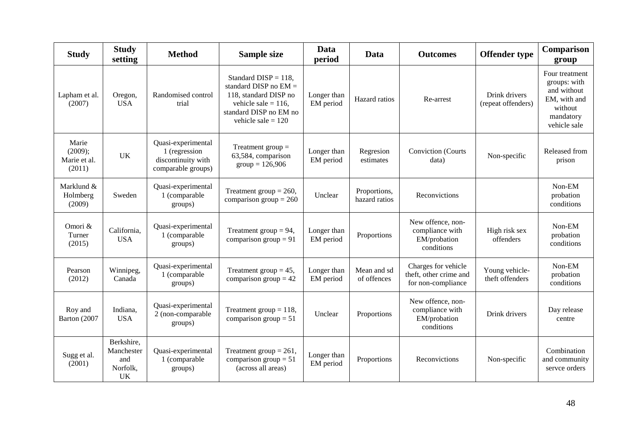| <b>Study</b>                               | <b>Study</b><br>setting                                  | <b>Method</b>                                                                   | <b>Sample size</b>                                                                                                                                      | Data<br>period           | Data                          | <b>Outcomes</b>                                                     | <b>Offender type</b>                | Comparison<br>group                                                                                   |
|--------------------------------------------|----------------------------------------------------------|---------------------------------------------------------------------------------|---------------------------------------------------------------------------------------------------------------------------------------------------------|--------------------------|-------------------------------|---------------------------------------------------------------------|-------------------------------------|-------------------------------------------------------------------------------------------------------|
| Lapham et al.<br>(2007)                    | Oregon,<br><b>USA</b>                                    | Randomised control<br>trial                                                     | Standard DISP = $118$ ,<br>standard DISP no $EM =$<br>118, standard DISP no<br>vehicle sale = $116$ ,<br>standard DISP no EM no<br>vehicle sale $= 120$ | Longer than<br>EM period | Hazard ratios                 | Re-arrest                                                           | Drink drivers<br>(repeat offenders) | Four treatment<br>groups: with<br>and without<br>EM, with and<br>without<br>mandatory<br>vehicle sale |
| Marie<br>(2009);<br>Marie et al.<br>(2011) | <b>UK</b>                                                | Quasi-experimental<br>1 (regression<br>discontinuity with<br>comparable groups) | Treatment group $=$<br>63,584, comparison<br>$group = 126,906$                                                                                          | Longer than<br>EM period | Regresion<br>estimates        | <b>Conviction</b> (Courts<br>data)                                  | Non-specific                        | Released from<br>prison                                                                               |
| Marklund &<br>Holmberg<br>(2009)           | Sweden                                                   | Quasi-experimental<br>1 (comparable<br>groups)                                  | Treatment group = $260$ ,<br>comparison group = $260$                                                                                                   | Unclear                  | Proportions,<br>hazard ratios | Reconvictions                                                       |                                     | Non-EM<br>probation<br>conditions                                                                     |
| Omori &<br>Turner<br>(2015)                | California,<br><b>USA</b>                                | Quasi-experimental<br>1 (comparable<br>groups)                                  | Treatment group = $94$ ,<br>comparison group = $91$                                                                                                     | Longer than<br>EM period | Proportions                   | New offence, non-<br>compliance with<br>EM/probation<br>conditions  | High risk sex<br>offenders          | Non-EM<br>probation<br>conditions                                                                     |
| Pearson<br>(2012)                          | Winnipeg,<br>Canada                                      | Quasi-experimental<br>1 (comparable<br>groups)                                  | Treatment group = $45$ ,<br>comparison group $= 42$                                                                                                     | Longer than<br>EM period | Mean and sd<br>of offences    | Charges for vehicle<br>theft, other crime and<br>for non-compliance | Young vehicle-<br>theft offenders   | Non-EM<br>probation<br>conditions                                                                     |
| Roy and<br>Barton (2007                    | Indiana,<br><b>USA</b>                                   | Quasi-experimental<br>2 (non-comparable<br>groups)                              | Treatment group $= 118$ ,<br>comparison group = $51$                                                                                                    | Unclear                  | Proportions                   | New offence, non-<br>compliance with<br>EM/probation<br>conditions  | Drink drivers                       | Day release<br>centre                                                                                 |
| Sugg et al.<br>(2001)                      | Berkshire,<br>Manchester<br>and<br>Norfolk,<br><b>UK</b> | Quasi-experimental<br>1 (comparable<br>groups)                                  | Treatment group = $261$ ,<br>comparison group = $51$<br>(across all areas)                                                                              | Longer than<br>EM period | Proportions                   | Reconvictions                                                       | Non-specific                        | Combination<br>and community<br>servce orders                                                         |